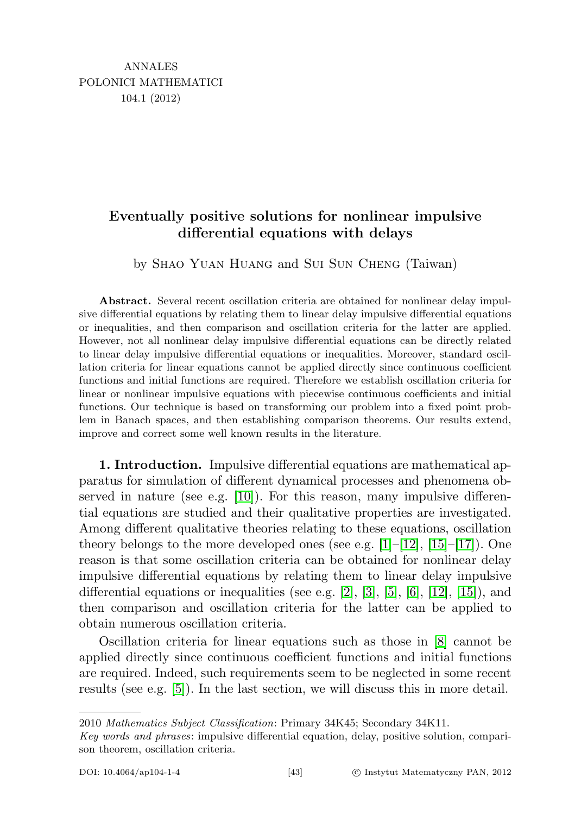## Eventually positive solutions for nonlinear impulsive differential equations with delays

by Shao Yuan Huang and Sui Sun Cheng (Taiwan)

Abstract. Several recent oscillation criteria are obtained for nonlinear delay impulsive differential equations by relating them to linear delay impulsive differential equations or inequalities, and then comparison and oscillation criteria for the latter are applied. However, not all nonlinear delay impulsive differential equations can be directly related to linear delay impulsive differential equations or inequalities. Moreover, standard oscillation criteria for linear equations cannot be applied directly since continuous coefficient functions and initial functions are required. Therefore we establish oscillation criteria for linear or nonlinear impulsive equations with piecewise continuous coefficients and initial functions. Our technique is based on transforming our problem into a fixed point problem in Banach spaces, and then establishing comparison theorems. Our results extend, improve and correct some well known results in the literature.

<span id="page-0-0"></span>1. Introduction. Impulsive differential equations are mathematical apparatus for simulation of different dynamical processes and phenomena observed in nature (see e.g.  $[10]$ ). For this reason, many impulsive differential equations are studied and their qualitative properties are investigated. Among different qualitative theories relating to these equations, oscillation theory belongs to the more developed ones (see e.g.  $[1]-[12], [15]-[17]$  $[1]-[12], [15]-[17]$  $[1]-[12], [15]-[17]$  $[1]-[12], [15]-[17]$  $[1]-[12], [15]-[17]$  $[1]-[12], [15]-[17]$  $[1]-[12], [15]-[17]$ ). One reason is that some oscillation criteria can be obtained for nonlinear delay impulsive differential equations by relating them to linear delay impulsive differential equations or inequalities (see e.g. [\[2\]](#page-27-4), [\[3\]](#page-27-5), [\[5\]](#page-27-6), [\[6\]](#page-27-7), [\[12\]](#page-27-1), [\[15\]](#page-27-2)), and then comparison and oscillation criteria for the latter can be applied to obtain numerous oscillation criteria.

Oscillation criteria for linear equations such as those in [\[8\]](#page-27-8) cannot be applied directly since continuous coefficient functions and initial functions are required. Indeed, such requirements seem to be neglected in some recent results (see e.g. [\[5\]](#page-27-6)). In the last section, we will discuss this in more detail.

2010 Mathematics Subject Classification: Primary 34K45; Secondary 34K11.

Key words and phrases: impulsive differential equation, delay, positive solution, comparison theorem, oscillation criteria.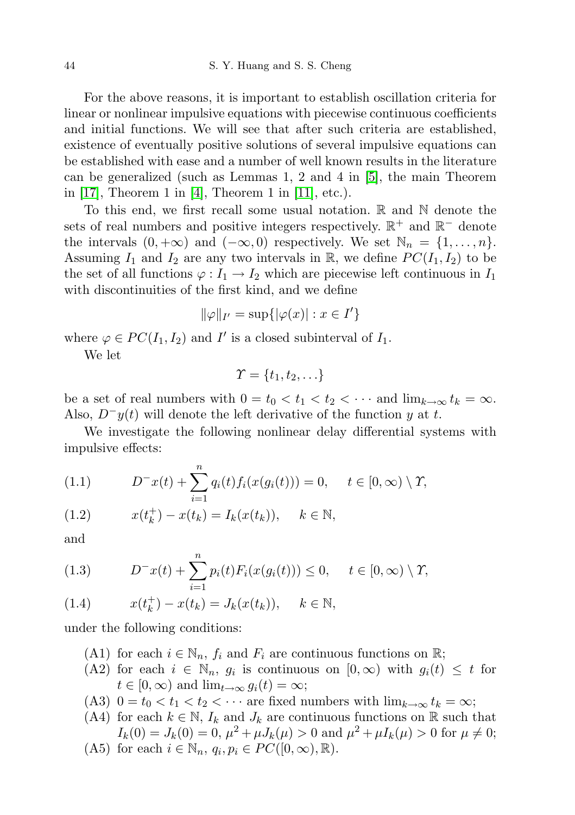For the above reasons, it is important to establish oscillation criteria for linear or nonlinear impulsive equations with piecewise continuous coefficients and initial functions. We will see that after such criteria are established, existence of eventually positive solutions of several impulsive equations can be established with ease and a number of well known results in the literature can be generalized (such as Lemmas 1, 2 and 4 in [\[5\]](#page-27-6), the main Theorem in [\[17\]](#page-27-3), Theorem 1 in [\[4\]](#page-27-9), Theorem 1 in [\[11\]](#page-27-10), etc.).

To this end, we first recall some usual notation.  $\mathbb R$  and  $\mathbb N$  denote the sets of real numbers and positive integers respectively.  $\mathbb{R}^+$  and  $\mathbb{R}^-$  denote the intervals  $(0, +\infty)$  and  $(-\infty, 0)$  respectively. We set  $\mathbb{N}_n = \{1, \ldots, n\}.$ Assuming  $I_1$  and  $I_2$  are any two intervals in  $\mathbb{R}$ , we define  $PC(I_1, I_2)$  to be the set of all functions  $\varphi: I_1 \to I_2$  which are piecewise left continuous in  $I_1$ with discontinuities of the first kind, and we define

$$
\|\varphi\|_{I'} = \sup\{|\varphi(x)| : x \in I'\}
$$

where  $\varphi \in PC(I_1, I_2)$  and I' is a closed subinterval of  $I_1$ .

We let

$$
\varUpsilon = \{t_1, t_2, \ldots\}
$$

be a set of real numbers with  $0 = t_0 < t_1 < t_2 < \cdots$  and  $\lim_{k \to \infty} t_k = \infty$ . Also,  $D^{-}y(t)$  will denote the left derivative of the function y at t.

We investigate the following nonlinear delay differential systems with impulsive effects:

(1.1) 
$$
D^{-}x(t) + \sum_{i=1}^{n} q_i(t) f_i(x(g_i(t))) = 0, \quad t \in [0, \infty) \setminus \Upsilon,
$$

(1.2) 
$$
x(t_k^+) - x(t_k) = I_k(x(t_k)), \quad k \in \mathbb{N},
$$

and

(1.3) 
$$
D^{-}x(t) + \sum_{i=1}^{n} p_i(t) F_i(x(g_i(t))) \leq 0, \quad t \in [0, \infty) \setminus \Upsilon,
$$

(1.4) 
$$
x(t_k^+) - x(t_k) = J_k(x(t_k)), \quad k \in \mathbb{N},
$$

under the following conditions:

- (A1) for each  $i \in \mathbb{N}_n$ ,  $f_i$  and  $F_i$  are continuous functions on  $\mathbb{R}$ ;
- (A2) for each  $i \in \mathbb{N}_n$ ,  $g_i$  is continuous on  $[0,\infty)$  with  $g_i(t) \leq t$  for  $t \in [0, \infty)$  and  $\lim_{t \to \infty} g_i(t) = \infty;$
- (A3)  $0 = t_0 < t_1 < t_2 < \cdots$  are fixed numbers with  $\lim_{k \to \infty} t_k = \infty$ ;
- (A4) for each  $k \in \mathbb{N}$ ,  $I_k$  and  $J_k$  are continuous functions on  $\mathbb{R}$  such that  $I_k(0) = J_k(0) = 0, \, \mu^2 + \mu J_k(\mu) > 0$  and  $\mu^2 + \mu I_k(\mu) > 0$  for  $\mu \neq 0$ ;
- (A5) for each  $i \in \mathbb{N}_n$ ,  $q_i, p_i \in PC([0, \infty), \mathbb{R})$ .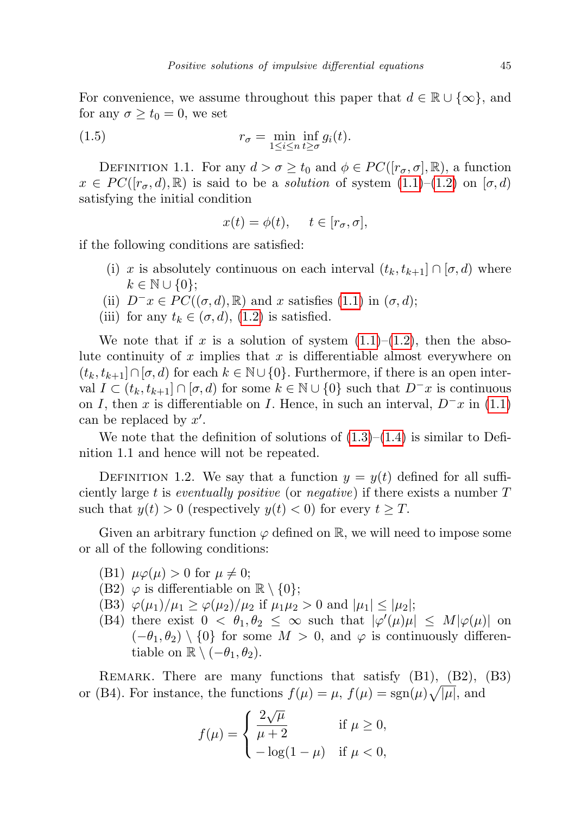For convenience, we assume throughout this paper that  $d \in \mathbb{R} \cup \{\infty\}$ , and for any  $\sigma \geq t_0 = 0$ , we set

(1.5) 
$$
r_{\sigma} = \min_{1 \leq i \leq n} \inf_{t \geq \sigma} g_i(t).
$$

DEFINITION 1.1. For any  $d > \sigma \geq t_0$  and  $\phi \in PC([r_{\sigma}, \sigma], \mathbb{R})$ , a function  $x \in PC([r_{\sigma}, d), \mathbb{R})$  is said to be a *solution* of system  $(1.1)$ – $(1.2)$  on  $[\sigma, d)$ satisfying the initial condition

<span id="page-2-0"></span>
$$
x(t) = \phi(t), \quad t \in [r_{\sigma}, \sigma],
$$

if the following conditions are satisfied:

- (i) x is absolutely continuous on each interval  $(t_k, t_{k+1}] \cap [\sigma, d)$  where  $k \in \mathbb{N} \cup \{0\};$
- (ii)  $D^{-}x \in PC((\sigma, d), \mathbb{R})$  and x satisfies [\(1.1\)](#page-0-0) in  $(\sigma, d)$ ;
- (iii) for any  $t_k \in (\sigma, d)$ , [\(1.2\)](#page-0-0) is satisfied.

We note that if x is a solution of system  $(1.1)$ – $(1.2)$ , then the absolute continuity of x implies that x is differentiable almost everywhere on  $(t_k, t_{k+1}] \cap [\sigma, d]$  for each  $k \in \mathbb{N} \cup \{0\}$ . Furthermore, if there is an open interval  $I \subset (t_k, t_{k+1}] \cap [\sigma, d)$  for some  $k \in \mathbb{N} \cup \{0\}$  such that  $D^{-}x$  is continuous on I, then x is differentiable on I. Hence, in such an interval,  $D^-\mathbf{x}$  in [\(1.1\)](#page-0-0) can be replaced by  $x'$ .

We note that the definition of solutions of  $(1.3)$ – $(1.4)$  is similar to Definition 1.1 and hence will not be repeated.

DEFINITION 1.2. We say that a function  $y = y(t)$  defined for all sufficiently large t is eventually positive (or negative) if there exists a number  $T$ such that  $y(t) > 0$  (respectively  $y(t) < 0$ ) for every  $t \geq T$ .

Given an arbitrary function  $\varphi$  defined on R, we will need to impose some or all of the following conditions:

- (B1)  $\mu\varphi(\mu) > 0$  for  $\mu \neq 0$ ;
- (B2)  $\varphi$  is differentiable on  $\mathbb{R}\setminus\{0\};$
- (B3)  $\varphi(\mu_1)/\mu_1 \geq \varphi(\mu_2)/\mu_2$  if  $\mu_1 \mu_2 > 0$  and  $|\mu_1| \leq |\mu_2|$ ;
- (B4) there exist  $0 < \theta_1, \theta_2 \leq \infty$  such that  $|\varphi'(\mu)\mu| \leq M |\varphi(\mu)|$  on  $(-\theta_1, \theta_2) \setminus \{0\}$  for some  $M > 0$ , and  $\varphi$  is continuously differentiable on  $\mathbb{R} \setminus (-\theta_1, \theta_2)$ .

REMARK. There are many functions that satisfy  $(B1)$ ,  $(B2)$ ,  $(B3)$ or (B4). For instance, the functions  $f(\mu) = \mu$ ,  $f(\mu) = \text{sgn}(\mu)\sqrt{|\mu|}$ , and

$$
f(\mu) = \begin{cases} \frac{2\sqrt{\mu}}{\mu+2} & \text{if } \mu \ge 0, \\ -\log(1-\mu) & \text{if } \mu < 0, \end{cases}
$$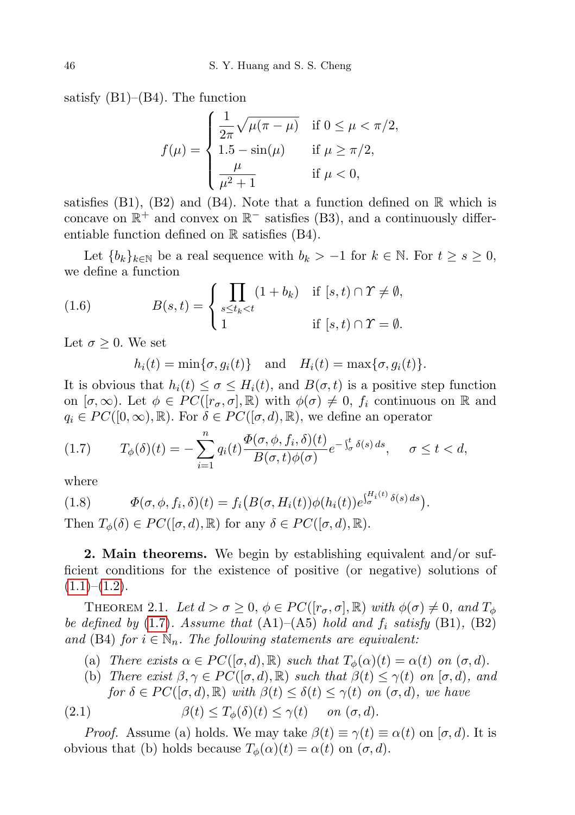satisfy  $(B1)$ – $(B4)$ . The function

$$
f(\mu) = \begin{cases} \frac{1}{2\pi} \sqrt{\mu(\pi - \mu)} & \text{if } 0 \le \mu < \pi/2, \\ 1.5 - \sin(\mu) & \text{if } \mu \ge \pi/2, \\ \frac{\mu}{\mu^2 + 1} & \text{if } \mu < 0, \end{cases}
$$

satisfies (B1), (B2) and (B4). Note that a function defined on  $\mathbb R$  which is concave on  $\mathbb{R}^+$  and convex on  $\mathbb{R}^-$  satisfies (B3), and a continuously differentiable function defined on R satisfies (B4).

Let  ${b_k}_{k\in\mathbb{N}}$  be a real sequence with  $b_k > -1$  for  $k \in \mathbb{N}$ . For  $t \geq s \geq 0$ , we define a function

(1.6) 
$$
B(s,t) = \begin{cases} \prod_{s \le t_k < t} (1+b_k) & \text{if } [s,t) \cap \Upsilon \neq \emptyset, \\ 1 & \text{if } [s,t) \cap \Upsilon = \emptyset. \end{cases}
$$

Let  $\sigma \geq 0$ . We set

<span id="page-3-3"></span> $h_i(t) = \min\{\sigma, g_i(t)\}\$ and  $H_i(t) = \max\{\sigma, g_i(t)\}.$ 

It is obvious that  $h_i(t) \leq \sigma \leq H_i(t)$ , and  $B(\sigma, t)$  is a positive step function on  $[\sigma, \infty)$ . Let  $\phi \in PC([r_{\sigma}, \sigma], \mathbb{R})$  with  $\phi(\sigma) \neq 0$ ,  $f_i$  continuous on R and  $q_i \in PC([0,\infty), \mathbb{R})$ . For  $\delta \in PC([\sigma, d), \mathbb{R})$ , we define an operator

<span id="page-3-0"></span>(1.7) 
$$
T_{\phi}(\delta)(t) = -\sum_{i=1}^{n} q_i(t) \frac{\Phi(\sigma, \phi, f_i, \delta)(t)}{B(\sigma, t)\phi(\sigma)} e^{-\int_{\sigma}^{t} \delta(s) ds}, \quad \sigma \leq t < d,
$$

where

<span id="page-3-4"></span>(1.8) 
$$
\Phi(\sigma,\phi,f_i,\delta)(t) = f_i\big(B(\sigma,H_i(t))\phi(h_i(t))e^{\int_{\sigma}^{H_i(t)}\delta(s)\,ds}\big).
$$

Then  $T_{\phi}(\delta) \in PC([\sigma, d), \mathbb{R})$  for any  $\delta \in PC([\sigma, d), \mathbb{R})$ .

2. Main theorems. We begin by establishing equivalent and/or sufficient conditions for the existence of positive (or negative) solutions of  $(1.1)$ – $(1.2)$ .

<span id="page-3-2"></span>THEOREM 2.1. Let  $d > \sigma \geq 0$ ,  $\phi \in PC(\lceil r_{\sigma}, \sigma \rceil, \mathbb{R})$  with  $\phi(\sigma) \neq 0$ , and  $T_{\phi}$ be defined by  $(1.7)$  $(1.7)$ . Assume that  $(A1)$ – $(A5)$  hold and  $f_i$  satisfy  $(B1)$ ,  $(B2)$ and (B4) for  $i \in \mathbb{N}_n$ . The following statements are equivalent:

- (a) There exists  $\alpha \in PC([\sigma, d), \mathbb{R})$  such that  $T_{\phi}(\alpha)(t) = \alpha(t)$  on  $(\sigma, d)$ .
- <span id="page-3-1"></span>(b) There exist  $\beta, \gamma \in PC([\sigma, d), \mathbb{R})$  such that  $\beta(t) \leq \gamma(t)$  on  $[\sigma, d)$ , and for  $\delta \in PC([\sigma, d), \mathbb{R})$  with  $\beta(t) \leq \delta(t) \leq \gamma(t)$  on  $(\sigma, d)$ , we have

(2.1) 
$$
\beta(t) \leq T_{\phi}(\delta)(t) \leq \gamma(t) \quad on \ (\sigma, d).
$$

*Proof.* Assume (a) holds. We may take  $\beta(t) \equiv \gamma(t) \equiv \alpha(t)$  on  $[\sigma, d)$ . It is obvious that (b) holds because  $T_{\phi}(\alpha)(t) = \alpha(t)$  on  $(\sigma, d)$ .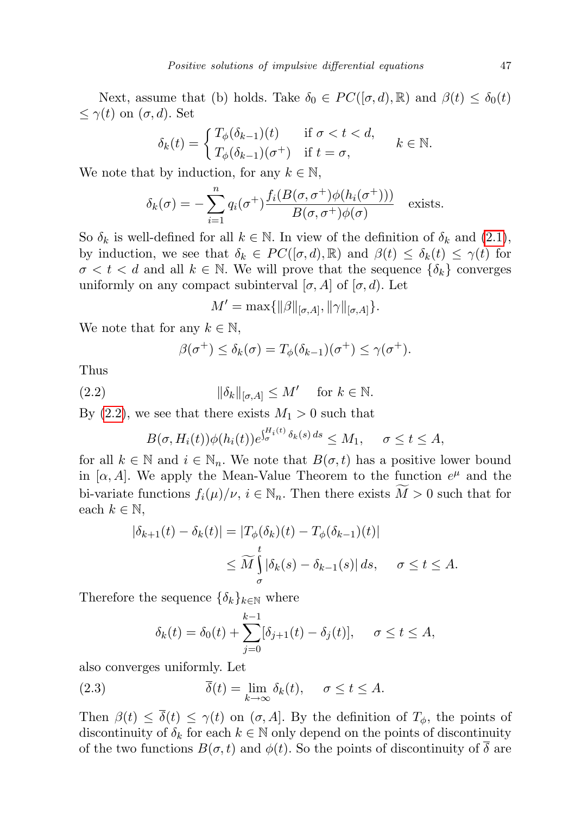Next, assume that (b) holds. Take  $\delta_0 \in PC([\sigma, d), \mathbb{R})$  and  $\beta(t) \leq \delta_0(t)$  $\leq \gamma(t)$  on  $(\sigma, d)$ . Set

$$
\delta_k(t) = \begin{cases} T_{\phi}(\delta_{k-1})(t) & \text{if } \sigma < t < d, \\ T_{\phi}(\delta_{k-1})(\sigma^+) & \text{if } t = \sigma, \end{cases} \quad k \in \mathbb{N}.
$$

We note that by induction, for any  $k \in \mathbb{N}$ ,

$$
\delta_k(\sigma) = -\sum_{i=1}^n q_i(\sigma^+) \frac{f_i(B(\sigma, \sigma^+) \phi(h_i(\sigma^+)))}{B(\sigma, \sigma^+) \phi(\sigma)}
$$
 exists.

So  $\delta_k$  is well-defined for all  $k \in \mathbb{N}$ . In view of the definition of  $\delta_k$  and [\(2.1\)](#page-3-1), by induction, we see that  $\delta_k \in PC([\sigma, d), \mathbb{R})$  and  $\beta(t) \leq \delta_k(t) \leq \gamma(t)$  for  $\sigma < t < d$  and all  $k \in \mathbb{N}$ . We will prove that the sequence  $\{\delta_k\}$  converges uniformly on any compact subinterval  $[\sigma, A]$  of  $[\sigma, d)$ . Let

$$
M' = \max\{\|\beta\|_{[\sigma,A]}, \|\gamma\|_{[\sigma,A]}\}.
$$

We note that for any  $k \in \mathbb{N}$ ,

<span id="page-4-0"></span>
$$
\beta(\sigma^+) \leq \delta_k(\sigma) = T_{\phi}(\delta_{k-1})(\sigma^+) \leq \gamma(\sigma^+).
$$

Thus

(2.2) 
$$
\|\delta_k\|_{[\sigma,A]} \leq M' \quad \text{for } k \in \mathbb{N}.
$$

By  $(2.2)$ , we see that there exists  $M_1 > 0$  such that

$$
B(\sigma, H_i(t))\phi(h_i(t))e^{\int_{\sigma}^{H_i(t)} \delta_k(s) ds} \le M_1, \quad \sigma \le t \le A,
$$

for all  $k \in \mathbb{N}$  and  $i \in \mathbb{N}_n$ . We note that  $B(\sigma, t)$  has a positive lower bound in [ $\alpha$ , A]. We apply the Mean-Value Theorem to the function  $e^{\mu}$  and the bi-variate functions  $f_i(\mu)/\nu$ ,  $i \in \mathbb{N}_n$ . Then there exists  $M > 0$  such that for each  $k \in \mathbb{N}$ ,

$$
|\delta_{k+1}(t) - \delta_k(t)| = |T_{\phi}(\delta_k)(t) - T_{\phi}(\delta_{k-1})(t)|
$$
  

$$
\leq \widetilde{M} \int_{\sigma}^{t} |\delta_k(s) - \delta_{k-1}(s)| ds, \quad \sigma \leq t \leq A.
$$

Therefore the sequence  $\{\delta_k\}_{k\in\mathbb{N}}$  where

<span id="page-4-1"></span>
$$
\delta_k(t) = \delta_0(t) + \sum_{j=0}^{k-1} [\delta_{j+1}(t) - \delta_j(t)], \quad \sigma \le t \le A,
$$

also converges uniformly. Let

(2.3) 
$$
\overline{\delta}(t) = \lim_{k \to \infty} \delta_k(t), \quad \sigma \le t \le A.
$$

Then  $\beta(t) \leq \overline{\delta}(t) \leq \gamma(t)$  on  $(\sigma, A]$ . By the definition of  $T_{\phi}$ , the points of discontinuity of  $\delta_k$  for each  $k \in \mathbb{N}$  only depend on the points of discontinuity of the two functions  $B(\sigma, t)$  and  $\phi(t)$ . So the points of discontinuity of  $\overline{\delta}$  are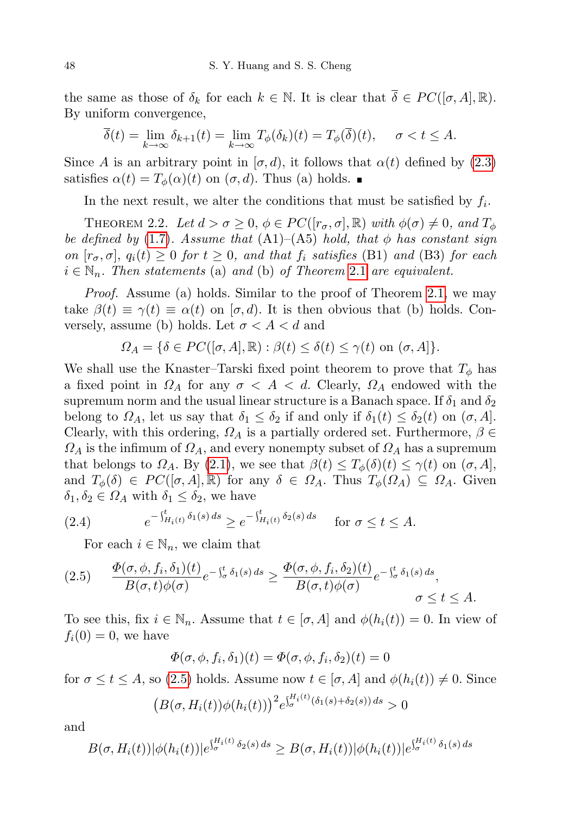the same as those of  $\delta_k$  for each  $k \in \mathbb{N}$ . It is clear that  $\overline{\delta} \in PC([\sigma, A], \mathbb{R})$ . By uniform convergence,

$$
\overline{\delta}(t) = \lim_{k \to \infty} \delta_{k+1}(t) = \lim_{k \to \infty} T_{\phi}(\delta_k)(t) = T_{\phi}(\overline{\delta})(t), \quad \sigma < t \le A.
$$

Since A is an arbitrary point in  $[\sigma, d)$ , it follows that  $\alpha(t)$  defined by [\(2.3\)](#page-4-1) satisfies  $\alpha(t) = T_{\phi}(\alpha)(t)$  on  $(\sigma, d)$ . Thus (a) holds.

In the next result, we alter the conditions that must be satisfied by  $f_i$ .

<span id="page-5-2"></span>THEOREM 2.2. Let  $d > \sigma \geq 0$ ,  $\phi \in PC([r_{\sigma}, \sigma], \mathbb{R})$  with  $\phi(\sigma) \neq 0$ , and  $T_{\phi}$ be defined by [\(1](#page-3-0).7). Assume that  $(A1)$ – $(A5)$  hold, that  $\phi$  has constant sign on  $[r_{\sigma}, \sigma]$ ,  $q_i(t) \geq 0$  for  $t \geq 0$ , and that  $f_i$  satisfies (B1) and (B3) for each  $i \in \mathbb{N}_n$ . Then statements (a) and (b) of Theorem [2](#page-3-2).1 are equivalent.

Proof. Assume (a) holds. Similar to the proof of Theorem [2.1,](#page-3-2) we may take  $\beta(t) \equiv \gamma(t) \equiv \alpha(t)$  on  $[\sigma, d)$ . It is then obvious that (b) holds. Conversely, assume (b) holds. Let  $\sigma < A < d$  and

$$
\Omega_A = \{ \delta \in PC([\sigma, A], \mathbb{R}) : \beta(t) \le \delta(t) \le \gamma(t) \text{ on } (\sigma, A] \}.
$$

We shall use the Knaster–Tarski fixed point theorem to prove that  $T_{\phi}$  has a fixed point in  $\Omega_A$  for any  $\sigma < A < d$ . Clearly,  $\Omega_A$  endowed with the supremum norm and the usual linear structure is a Banach space. If  $\delta_1$  and  $\delta_2$ belong to  $\Omega_A$ , let us say that  $\delta_1 \leq \delta_2$  if and only if  $\delta_1(t) \leq \delta_2(t)$  on  $(\sigma, A]$ . Clearly, with this ordering,  $\Omega_A$  is a partially ordered set. Furthermore,  $\beta \in$  $\Omega_A$  is the infimum of  $\Omega_A$ , and every nonempty subset of  $\Omega_A$  has a supremum that belongs to  $\Omega_A$ . By [\(2.1\)](#page-3-1), we see that  $\beta(t) \leq T_{\phi}(\delta)(t) \leq \gamma(t)$  on  $(\sigma, A]$ , and  $T_{\phi}(\delta) \in PC([\sigma, A], \mathbb{R})$  for any  $\delta \in \Omega_A$ . Thus  $T_{\phi}(\Omega_A) \subseteq \Omega_A$ . Given  $\delta_1, \delta_2 \in \Omega_A$  with  $\delta_1 \leq \delta_2$ , we have

(2.4) 
$$
e^{-\int_{H_i(t)}^t \delta_1(s) ds} \ge e^{-\int_{H_i(t)}^t \delta_2(s) ds} \quad \text{for } \sigma \le t \le A.
$$

<span id="page-5-1"></span>For each  $i \in \mathbb{N}_n$ , we claim that

<span id="page-5-0"></span>
$$
(2.5) \qquad \frac{\Phi(\sigma,\phi,f_i,\delta_1)(t)}{B(\sigma,t)\phi(\sigma)}e^{-\int_{\sigma}^{t}\delta_1(s)\,ds} \geq \frac{\Phi(\sigma,\phi,f_i,\delta_2)(t)}{B(\sigma,t)\phi(\sigma)}e^{-\int_{\sigma}^{t}\delta_1(s)\,ds},\qquad \sigma \leq t \leq A.
$$

To see this, fix  $i \in \mathbb{N}_n$ . Assume that  $t \in [\sigma, A]$  and  $\phi(h_i(t)) = 0$ . In view of  $f_i(0) = 0$ , we have

$$
\Phi(\sigma, \phi, f_i, \delta_1)(t) = \Phi(\sigma, \phi, f_i, \delta_2)(t) = 0
$$

for  $\sigma \leq t \leq A$ , so [\(2.5\)](#page-5-0) holds. Assume now  $t \in [\sigma, A]$  and  $\phi(h_i(t)) \neq 0$ . Since

$$
(B(\sigma, H_i(t))\phi(h_i(t)))^2 e^{\int_{\sigma}^{H_i(t)} (\delta_1(s) + \delta_2(s)) ds} > 0
$$

and

$$
B(\sigma, H_i(t))|\phi(h_i(t))|e^{\int_{\sigma}^{H_i(t)} \delta_2(s) ds} \geq B(\sigma, H_i(t))|\phi(h_i(t))|e^{\int_{\sigma}^{H_i(t)} \delta_1(s) ds}
$$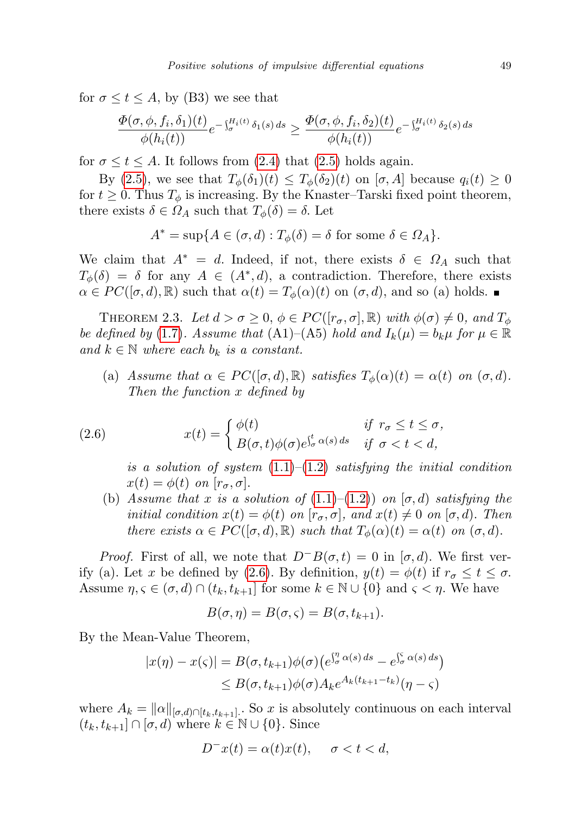for  $\sigma \leq t \leq A$ , by (B3) we see that

$$
\frac{\Phi(\sigma,\phi,f_i,\delta_1)(t)}{\phi(h_i(t))}e^{-\int_{\sigma}^{H_i(t)}\delta_1(s)\,ds}\geq \frac{\Phi(\sigma,\phi,f_i,\delta_2)(t)}{\phi(h_i(t))}e^{-\int_{\sigma}^{H_i(t)}\delta_2(s)\,ds}
$$

for  $\sigma \leq t \leq A$ . It follows from [\(2.4\)](#page-5-1) that [\(2.5\)](#page-5-0) holds again.

By [\(2.5\)](#page-5-0), we see that  $T_{\phi}(\delta_1)(t) \leq T_{\phi}(\delta_2)(t)$  on  $[\sigma, A]$  because  $q_i(t) \geq 0$ for  $t \geq 0$ . Thus  $T_{\phi}$  is increasing. By the Knaster–Tarski fixed point theorem, there exists  $\delta \in \Omega_A$  such that  $T_{\phi}(\delta) = \delta$ . Let

$$
A^* = \sup\{A \in (\sigma, d) : T_{\phi}(\delta) = \delta \text{ for some } \delta \in \Omega_A\}.
$$

We claim that  $A^* = d$ . Indeed, if not, there exists  $\delta \in \Omega_A$  such that  $T_{\phi}(\delta) = \delta$  for any  $A \in (A^*, d)$ , a contradiction. Therefore, there exists  $\alpha \in PC([\sigma, d), \mathbb{R})$  such that  $\alpha(t) = T_{\phi}(\alpha)(t)$  on  $(\sigma, d)$ , and so (a) holds.

<span id="page-6-1"></span>THEOREM 2.3. Let  $d > \sigma \geq 0$ ,  $\phi \in PC([r_{\sigma}, \sigma], \mathbb{R})$  with  $\phi(\sigma) \neq 0$ , and  $T_{\phi}$ be defined by (1.[7\)](#page-3-0). Assume that (A1)–(A5) hold and  $I_k(\mu) = b_k \mu$  for  $\mu \in \mathbb{R}$ and  $k \in \mathbb{N}$  where each  $b_k$  is a constant.

(a) Assume that  $\alpha \in PC([\sigma, d), \mathbb{R})$  satisfies  $T_{\phi}(\alpha)(t) = \alpha(t)$  on  $(\sigma, d)$ . Then the function x defined by

(2.6) 
$$
x(t) = \begin{cases} \phi(t) & \text{if } r_{\sigma} \leq t \leq \sigma, \\ B(\sigma, t)\phi(\sigma)e^{\int_{\sigma}^{t} \alpha(s) ds} & \text{if } \sigma < t < d, \end{cases}
$$

<span id="page-6-0"></span>is a solution of system  $(1.1)$ – $(1.2)$  satisfying the initial condition  $x(t) = \phi(t)$  on  $[r_{\sigma}, \sigma]$ .

(b) Assume that x is a solution of  $(1.1)$ – $(1.2)$ ) on  $[\sigma, d)$  satisfying the *initial condition*  $x(t) = \phi(t)$  on  $[r_{\sigma}, \sigma]$ , and  $x(t) \neq 0$  on  $[\sigma, d)$ . Then there exists  $\alpha \in PC([\sigma, d), \mathbb{R})$  such that  $T_{\phi}(\alpha)(t) = \alpha(t)$  on  $(\sigma, d)$ .

*Proof.* First of all, we note that  $D^{-}B(\sigma, t) = 0$  in  $[\sigma, d)$ . We first ver-ify (a). Let x be defined by [\(2.6\)](#page-6-0). By definition,  $y(t) = \phi(t)$  if  $r_{\sigma} \le t \le \sigma$ . Assume  $\eta, \varsigma \in (\sigma, d) \cap (t_k, t_{k+1}]$  for some  $k \in \mathbb{N} \cup \{0\}$  and  $\varsigma < \eta$ . We have

$$
B(\sigma, \eta) = B(\sigma, \varsigma) = B(\sigma, t_{k+1}).
$$

By the Mean-Value Theorem,

$$
|x(\eta) - x(\varsigma)| = B(\sigma, t_{k+1})\phi(\sigma) \left(e^{\int_{\sigma}^{\eta} \alpha(s) ds} - e^{\int_{\sigma}^{\varsigma} \alpha(s) ds}\right)
$$
  

$$
\leq B(\sigma, t_{k+1})\phi(\sigma) A_k e^{A_k(t_{k+1} - t_k)}(\eta - \varsigma)
$$

where  $A_k = ||\alpha||_{[\sigma,d)\cap[t_k,t_{k+1}]}$ . So x is absolutely continuous on each interval  $(t_k, t_{k+1}] \cap [\sigma, d]$  where  $k \in \mathbb{N} \cup \{0\}$ . Since

$$
D^{-}x(t) = \alpha(t)x(t), \quad \sigma < t < d,
$$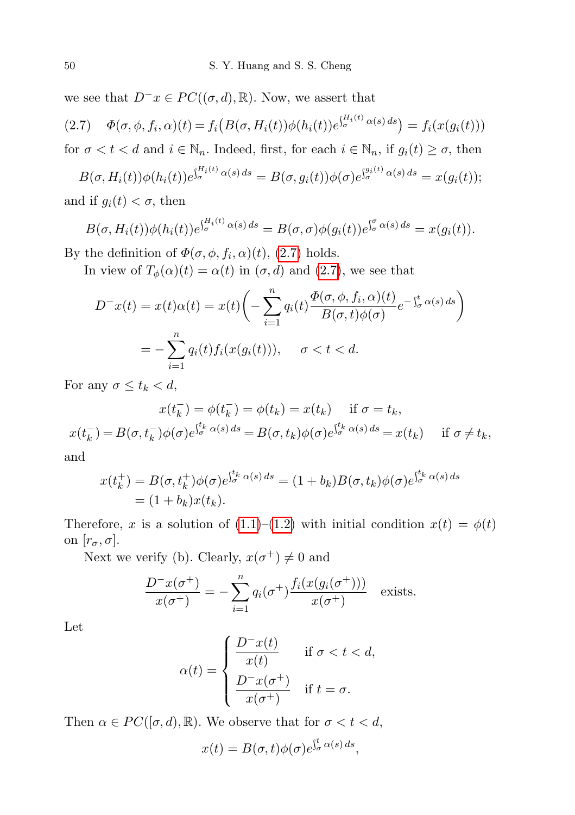we see that  $D^{-}x \in PC((\sigma, d), \mathbb{R})$ . Now, we assert that

<span id="page-7-0"></span>
$$
(2.7) \quad \Phi(\sigma,\phi,f_i,\alpha)(t) = f_i\big(B(\sigma,H_i(t))\phi(h_i(t))e^{\int_{\sigma}^{H_i(t)}\alpha(s)\,ds}\big) = f_i(x(g_i(t)))
$$

for  $\sigma < t < d$  and  $i \in \mathbb{N}_n$ . Indeed, first, for each  $i \in \mathbb{N}_n$ , if  $g_i(t) \geq \sigma$ , then

$$
B(\sigma, H_i(t))\phi(h_i(t))e^{\int_{\sigma}^{H_i(t)}\alpha(s)\,ds} = B(\sigma, g_i(t))\phi(\sigma)e^{\int_{\sigma}^{g_i(t)}\alpha(s)\,ds} = x(g_i(t));
$$

and if  $g_i(t) < \sigma$ , then

$$
B(\sigma, H_i(t))\phi(h_i(t))e^{\int_{\sigma}^{H_i(t)}\alpha(s)\,ds}=B(\sigma,\sigma)\phi(g_i(t))e^{\int_{\sigma}^{\sigma}\alpha(s)\,ds}=x(g_i(t)).
$$

By the definition of  $\Phi(\sigma, \phi, f_i, \alpha)(t)$ , [\(2.7\)](#page-7-0) holds.

In view of  $T_{\phi}(\alpha)(t) = \alpha(t)$  in  $(\sigma, d)$  and  $(2.7)$ , we see that

$$
D^{-}x(t) = x(t)\alpha(t) = x(t)\left(-\sum_{i=1}^{n} q_i(t)\frac{\Phi(\sigma,\phi,f_i,\alpha)(t)}{B(\sigma,t)\phi(\sigma)}e^{-\int_{\sigma}^{t} \alpha(s) ds}\right)
$$

$$
= -\sum_{i=1}^{n} q_i(t)f_i(x(g_i(t))), \quad \sigma < t < d.
$$

For any  $\sigma \leq t_k < d$ ,

$$
x(t_k^-) = \phi(t_k^-) = \phi(t_k) = x(t_k) \quad \text{if } \sigma = t_k,
$$
  

$$
x(t_k^-) = B(\sigma, t_k^-) \phi(\sigma) e^{\int_{\sigma}^{t_k} \alpha(s) ds} = B(\sigma, t_k) \phi(\sigma) e^{\int_{\sigma}^{t_k} \alpha(s) ds} = x(t_k) \quad \text{if } \sigma \neq t_k,
$$

and

$$
x(t_k^+) = B(\sigma, t_k^+) \phi(\sigma) e^{\int_{\sigma}^{t_k} \alpha(s) ds} = (1 + b_k) B(\sigma, t_k) \phi(\sigma) e^{\int_{\sigma}^{t_k} \alpha(s) ds}
$$
  
=  $(1 + b_k) x(t_k).$ 

Therefore, x is a solution of  $(1.1)$ – $(1.2)$  with initial condition  $x(t) = \phi(t)$ on  $[r_{\sigma}, \sigma]$ .

Next we verify (b). Clearly,  $x(\sigma^+) \neq 0$  and

$$
\frac{D^-x(\sigma^+)}{x(\sigma^+)} = -\sum_{i=1}^n q_i(\sigma^+) \frac{f_i(x(g_i(\sigma^+)))}{x(\sigma^+)} \quad \text{exists.}
$$

Let

$$
\alpha(t) = \begin{cases} \frac{D^-x(t)}{x(t)} & \text{if } \sigma < t < d, \\ \frac{D^-x(\sigma^+)}{x(\sigma^+)} & \text{if } t = \sigma. \end{cases}
$$

Then  $\alpha \in PC([\sigma, d), \mathbb{R})$ . We observe that for  $\sigma < t < d$ ,

$$
x(t) = B(\sigma, t)\phi(\sigma)e^{\int_{\sigma}^{t} \alpha(s) ds},
$$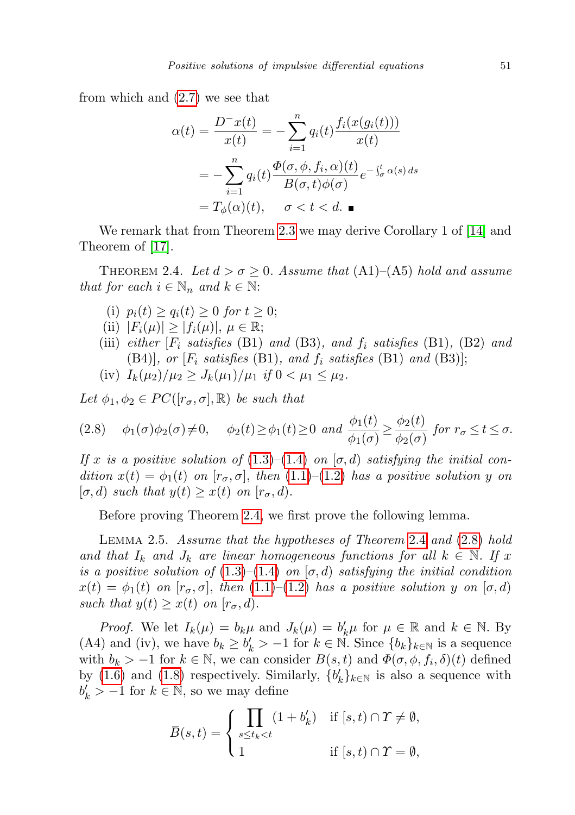from which and [\(2.7\)](#page-7-0) we see that

$$
\alpha(t) = \frac{D^-x(t)}{x(t)} = -\sum_{i=1}^n q_i(t) \frac{f_i(x(g_i(t)))}{x(t)}
$$

$$
= -\sum_{i=1}^n q_i(t) \frac{\Phi(\sigma, \phi, f_i, \alpha)(t)}{B(\sigma, t)\phi(\sigma)} e^{-\int_{\sigma}^t \alpha(s) ds}
$$

$$
= T_{\phi}(\alpha)(t), \quad \sigma < t < d.
$$

We remark that from Theorem [2.3](#page-6-1) we may derive Corollary 1 of [\[14\]](#page-27-11) and Theorem of [\[17\]](#page-27-3).

<span id="page-8-0"></span>THEOREM 2.4. Let  $d > \sigma \geq 0$ . Assume that  $(A1)$ – $(A5)$  hold and assume that for each  $i \in \mathbb{N}_n$  and  $k \in \mathbb{N}$ :

- (i)  $p_i(t) \geq q_i(t) \geq 0$  for  $t \geq 0$ ;
- (ii)  $|F_i(\mu)| \geq |f_i(\mu)|, \mu \in \mathbb{R};$
- (iii) either  $[F_i \; satisfies \; (B1) \; and \; (B3), \; and \; f_i \; satisfies \; (B1), \; (B2) \; and \;$ (B4)], or  $[F_i \; satisfies \; (B1), \; and \; f_i \; satisfies \; (B1) \; and \; (B3)];$
- (iv)  $I_k(\mu_2)/\mu_2 \geq J_k(\mu_1)/\mu_1$  if  $0 < \mu_1 \leq \mu_2$ .

Let  $\phi_1, \phi_2 \in PC([r_{\sigma}, \sigma], \mathbb{R})$  be such that

<span id="page-8-1"></span>
$$
(2.8) \quad \phi_1(\sigma)\phi_2(\sigma) \neq 0, \quad \phi_2(t) \ge \phi_1(t) \ge 0 \text{ and } \frac{\phi_1(t)}{\phi_1(\sigma)} \ge \frac{\phi_2(t)}{\phi_2(\sigma)} \text{ for } r_{\sigma} \le t \le \sigma.
$$

If x is a positive solution of [\(1.3\)](#page-0-0)–[\(1.4\)](#page-0-0) on  $[\sigma, d)$  satisfying the initial condition  $x(t) = \phi_1(t)$  on  $[r_{\sigma}, \sigma]$ , then  $(1.1)$ – $(1.2)$  has a positive solution y on  $[\sigma, d]$  such that  $y(t) \geq x(t)$  on  $[r_{\sigma}, d]$ .

Before proving Theorem [2.4,](#page-8-0) we first prove the following lemma.

<span id="page-8-2"></span>Lemma 2.5. Assume that the hypotheses of Theorem [2](#page-8-0).4 and [\(2](#page-8-1).8) hold and that  $I_k$  and  $J_k$  are linear homogeneous functions for all  $k \in \mathbb{N}$ . If x is a positive solution of  $(1.3)$ – $(1.4)$  on  $[\sigma, d)$  satisfying the initial condition  $x(t) = \phi_1(t)$  on  $[r_{\sigma}, \sigma]$ , then  $(1.1)$ – $(1.2)$  has a positive solution y on  $[\sigma, d)$ such that  $y(t) \geq x(t)$  on  $[r_{\sigma}, d)$ .

*Proof.* We let  $I_k(\mu) = b_k \mu$  and  $J_k(\mu) = b'_k \mu$  for  $\mu \in \mathbb{R}$  and  $k \in \mathbb{N}$ . By (A4) and (iv), we have  $b_k \geq b'_k > -1$  for  $k \in \mathbb{N}$ . Since  $\{b_k\}_{k \in \mathbb{N}}$  is a sequence with  $b_k > -1$  for  $k \in \mathbb{N}$ , we can consider  $B(s,t)$  and  $\Phi(\sigma, \phi, f_i, \delta)(t)$  defined by [\(1.6\)](#page-3-3) and [\(1.8\)](#page-3-4) respectively. Similarly,  ${b'_k}_{k\in\mathbb{N}}$  is also a sequence with  $b'_k > -1$  for  $k \in \mathbb{N}$ , so we may define

$$
\overline{B}(s,t) = \begin{cases}\n\prod_{s \le t_k < t} (1 + b'_k) & \text{if } [s,t) \cap \Upsilon \ne \emptyset, \\
1 & \text{if } [s,t) \cap \Upsilon = \emptyset,\n\end{cases}
$$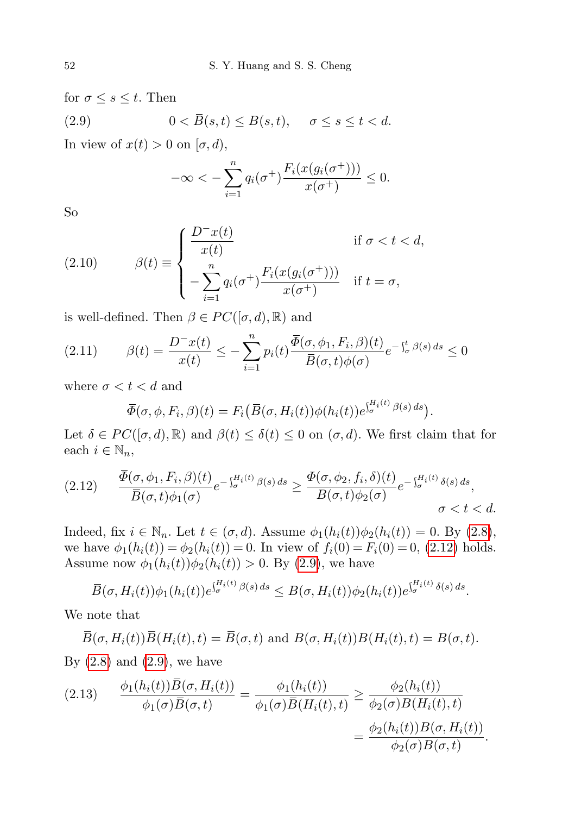for  $\sigma \leq s \leq t$ . Then (2.9)  $0 < \overline{B}(s,t) \leq B(s,t), \quad \sigma \leq s \leq t < d.$ 

In view of  $x(t) > 0$  on  $[\sigma, d)$ ,

<span id="page-9-1"></span>
$$
-\infty < -\sum_{i=1}^n q_i(\sigma^+) \frac{F_i(x(g_i(\sigma^+)))}{x(\sigma^+)} \le 0.
$$

So

<span id="page-9-4"></span>(2.10) 
$$
\beta(t) \equiv \begin{cases} \frac{D^-x(t)}{x(t)} & \text{if } \sigma < t < d, \\ -\sum_{i=1}^n q_i(\sigma^+) \frac{F_i(x(g_i(\sigma^+)))}{x(\sigma^+)} & \text{if } t = \sigma, \end{cases}
$$

is well-defined. Then  $\beta \in PC([\sigma, d), \mathbb{R})$  and

$$
(2.11) \qquad \beta(t) = \frac{D^-x(t)}{x(t)} \le -\sum_{i=1}^n p_i(t) \frac{\overline{\Phi}(\sigma, \phi_1, F_i, \beta)(t)}{\overline{B}(\sigma, t)\phi(\sigma)} e^{-\int_{\sigma}^t \beta(s) ds} \le 0
$$

where  $\sigma < t < d$  and

<span id="page-9-3"></span>
$$
\overline{\Phi}(\sigma,\phi,F_i,\beta)(t) = F_i(\overline{B}(\sigma,H_i(t))\phi(h_i(t))e^{\int_{\sigma}^{H_i(t)}\beta(s)\,ds}).
$$

Let  $\delta \in PC([\sigma, d), \mathbb{R})$  and  $\beta(t) \leq \delta(t) \leq 0$  on  $(\sigma, d)$ . We first claim that for each  $i \in \mathbb{N}_n$ ,

<span id="page-9-0"></span>
$$
(2.12) \qquad \frac{\Phi(\sigma,\phi_1,F_i,\beta)(t)}{\overline{B}(\sigma,t)\phi_1(\sigma)}e^{-\int_{\sigma}^{H_i(t)}\beta(s)\,ds} \ge \frac{\Phi(\sigma,\phi_2,f_i,\delta)(t)}{B(\sigma,t)\phi_2(\sigma)}e^{-\int_{\sigma}^{H_i(t)}\delta(s)\,ds},\qquad \sigma < t < d.
$$

Indeed, fix  $i \in \mathbb{N}_n$ . Let  $t \in (\sigma, d)$ . Assume  $\phi_1(h_i(t))\phi_2(h_i(t)) = 0$ . By  $(2.8)$ , we have  $\phi_1(h_i(t)) = \phi_2(h_i(t)) = 0$ . In view of  $f_i(0) = F_i(0) = 0$ , [\(2.12\)](#page-9-0) holds. Assume now  $\phi_1(h_i(t))\phi_2(h_i(t)) > 0$ . By [\(2.9\)](#page-9-1), we have

$$
\overline{B}(\sigma, H_i(t))\phi_1(h_i(t))e^{\int_{\sigma}^{H_i(t)}\beta(s)\,ds}\leq B(\sigma, H_i(t))\phi_2(h_i(t))e^{\int_{\sigma}^{H_i(t)}\delta(s)\,ds}.
$$

We note that

$$
\overline{B}(\sigma, H_i(t))\overline{B}(H_i(t), t) = \overline{B}(\sigma, t) \text{ and } B(\sigma, H_i(t))B(H_i(t), t) = B(\sigma, t).
$$
  
By (2.8) and (2.9), we have

<span id="page-9-2"></span>(2.13) 
$$
\frac{\phi_1(h_i(t))\overline{B}(\sigma, H_i(t))}{\phi_1(\sigma)\overline{B}(\sigma, t)} = \frac{\phi_1(h_i(t))}{\phi_1(\sigma)\overline{B}(H_i(t), t)} \ge \frac{\phi_2(h_i(t))}{\phi_2(\sigma)B(H_i(t), t)}
$$

$$
= \frac{\phi_2(h_i(t))B(\sigma, H_i(t))}{\phi_2(\sigma)B(\sigma, t)}.
$$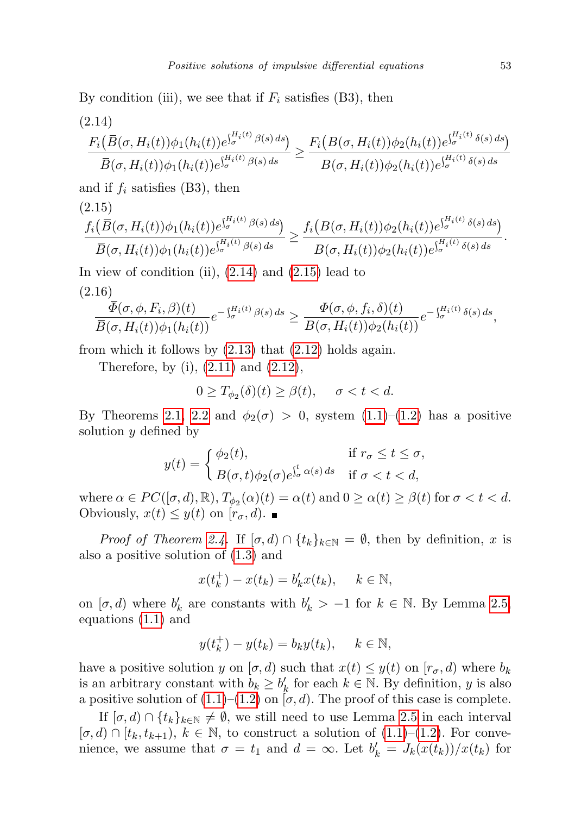By condition (iii), we see that if  $F_i$  satisfies (B3), then

<span id="page-10-0"></span>(2.14)

$$
\frac{F_i(\overline{B}(\sigma, H_i(t))\phi_1(h_i(t))e^{\int_{\sigma}^{H_i(t)} \beta(s) ds})}{\overline{B}(\sigma, H_i(t))\phi_1(h_i(t))e^{\int_{\sigma}^{H_i(t)} \beta(s) ds}} \ge \frac{F_i(B(\sigma, H_i(t))\phi_2(h_i(t))e^{\int_{\sigma}^{H_i(t)} \delta(s) ds})}{B(\sigma, H_i(t))\phi_2(h_i(t))e^{\int_{\sigma}^{H_i(t)} \delta(s) ds}}
$$

and if  $f_i$  satisfies (B3), then (2.15)

<span id="page-10-1"></span>
$$
\frac{f_i(\overline{B}(\sigma, H_i(t))\phi_1(h_i(t))e^{\int_{\sigma}^{H_i(t)} \beta(s) ds})}{\overline{B}(\sigma, H_i(t))\phi_1(h_i(t))e^{\int_{\sigma}^{H_i(t)} \beta(s) ds}} \geq \frac{f_i(B(\sigma, H_i(t))\phi_2(h_i(t))e^{\int_{\sigma}^{H_i(t)} \delta(s) ds})}{B(\sigma, H_i(t))\phi_2(h_i(t))e^{\int_{\sigma}^{H_i(t)} \delta(s) ds}}.
$$

In view of condition (ii),  $(2.14)$  and  $(2.15)$  lead to (2.16)

$$
\frac{\overline{\Phi}(\sigma,\phi,F_i,\beta)(t)}{\overline{B}(\sigma,H_i(t))\phi_1(h_i(t))}e^{-\int_{\sigma}^{H_i(t)}\beta(s)\,ds}\geq \frac{\Phi(\sigma,\phi,f_i,\delta)(t)}{B(\sigma,H_i(t))\phi_2(h_i(t))}e^{-\int_{\sigma}^{H_i(t)}\delta(s)\,ds},
$$

from which it follows by  $(2.13)$  that  $(2.12)$  holds again.

Therefore, by (i),  $(2.11)$  and  $(2.12)$ ,

$$
0 \ge T_{\phi_2}(\delta)(t) \ge \beta(t), \quad \sigma < t < d.
$$

By Theorems [2.1,](#page-3-2) [2.2](#page-5-2) and  $\phi_2(\sigma) > 0$ , system  $(1.1)$ – $(1.2)$  has a positive solution y defined by

$$
y(t) = \begin{cases} \phi_2(t), & \text{if } r_{\sigma} \le t \le \sigma, \\ B(\sigma, t)\phi_2(\sigma)e^{\int_{\sigma}^t \alpha(s) ds} & \text{if } \sigma < t < d, \end{cases}
$$

where  $\alpha \in PC([\sigma, d), \mathbb{R})$ ,  $T_{\phi_2}(\alpha)(t) = \alpha(t)$  and  $0 \geq \alpha(t) \geq \beta(t)$  for  $\sigma < t < d$ . Obviously,  $x(t) \leq y(t)$  on  $[r_{\sigma}, d)$ .

*Proof of Theorem [2.4.](#page-8-0)* If  $[\sigma, d] \cap \{t_k\}_{k \in \mathbb{N}} = \emptyset$ , then by definition, x is also a positive solution of [\(1.3\)](#page-0-0) and

$$
x(t_k^+) - x(t_k) = b'_k x(t_k), \quad k \in \mathbb{N},
$$

on  $[\sigma, d)$  where  $b'_k$  are constants with  $b'_k > -1$  for  $k \in \mathbb{N}$ . By Lemma [2.5,](#page-8-2) equations [\(1.1\)](#page-0-0) and

$$
y(t_k^+) - y(t_k) = b_k y(t_k), \quad k \in \mathbb{N},
$$

have a positive solution y on  $[\sigma, d)$  such that  $x(t) \leq y(t)$  on  $[r_{\sigma}, d)$  where  $b_k$ is an arbitrary constant with  $b_k \geq b'_k$  for each  $k \in \mathbb{N}$ . By definition, y is also a positive solution of  $(1.1)$ – $(1.2)$  on  $[\sigma, d)$ . The proof of this case is complete.

If  $[\sigma, d] \cap \{t_k\}_{k \in \mathbb{N}} \neq \emptyset$ , we still need to use Lemma [2.5](#page-8-2) in each interval  $[\sigma, d] \cap [t_k, t_{k+1}), k \in \mathbb{N}$ , to construct a solution of  $(1.1)$ – $(1.2)$ . For convenience, we assume that  $\sigma = t_1$  and  $d = \infty$ . Let  $b'_k = J_k(x(t_k))/x(t_k)$  for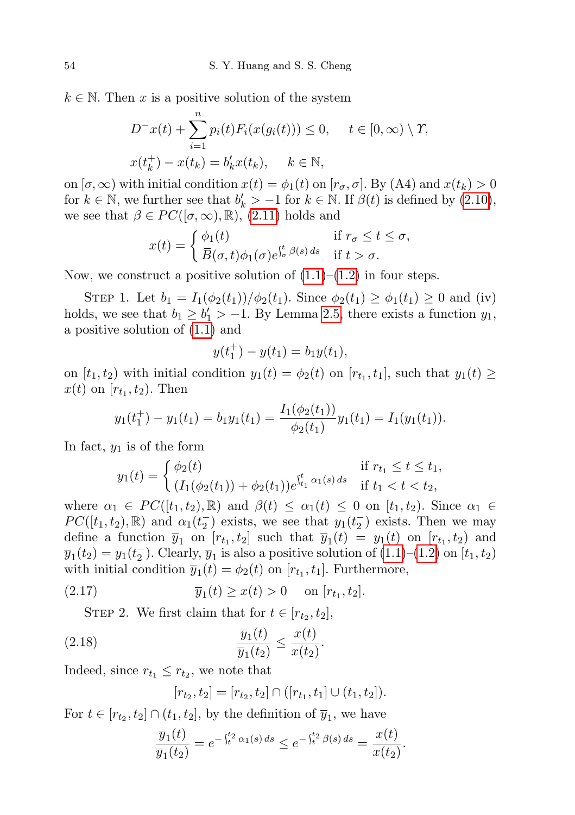$k \in \mathbb{N}$ . Then x is a positive solution of the system

$$
D^{-}x(t) + \sum_{i=1}^{n} p_i(t) F_i(x(g_i(t))) \le 0, \quad t \in [0, \infty) \setminus \Upsilon,
$$
  

$$
x(t_k^+) - x(t_k) = b'_k x(t_k), \quad k \in \mathbb{N},
$$

on  $[\sigma, \infty)$  with initial condition  $x(t) = \phi_1(t)$  on  $[r_{\sigma}, \sigma]$ . By (A4) and  $x(t_k) > 0$ for  $k \in \mathbb{N}$ , we further see that  $b'_k > -1$  for  $k \in \mathbb{N}$ . If  $\beta(t)$  is defined by  $(2.10)$ , we see that  $\beta \in PC([\sigma,\infty),\mathbb{R})$ , [\(2.11\)](#page-9-3) holds and

$$
x(t) = \begin{cases} \phi_1(t) & \text{if } r_{\sigma} \le t \le \sigma, \\ \overline{B}(\sigma, t)\phi_1(\sigma)e^{\int_{\sigma}^t \beta(s) ds} & \text{if } t > \sigma. \end{cases}
$$

Now, we construct a positive solution of  $(1.1)$ – $(1.2)$  in four steps.

STEP 1. Let  $b_1 = I_1(\phi_2(t_1))/\phi_2(t_1)$ . Since  $\phi_2(t_1) \ge \phi_1(t_1) \ge 0$  and (iv) holds, we see that  $b_1 \geq b'_1 > -1$ . By Lemma [2.5,](#page-8-2) there exists a function  $y_1$ , a positive solution of [\(1.1\)](#page-0-0) and

$$
y(t_1^+) - y(t_1) = b_1 y(t_1),
$$

on  $[t_1, t_2)$  with initial condition  $y_1(t) = \phi_2(t)$  on  $[r_{t_1}, t_1]$ , such that  $y_1(t) \geq$  $x(t)$  on  $[r_{t_1}, t_2]$ . Then

$$
y_1(t_1^+) - y_1(t_1) = b_1 y_1(t_1) = \frac{I_1(\phi_2(t_1))}{\phi_2(t_1)} y_1(t_1) = I_1(y_1(t_1)).
$$

In fact,  $y_1$  is of the form

$$
y_1(t) = \begin{cases} \phi_2(t) & \text{if } r_{t_1} \le t \le t_1, \\ (I_1(\phi_2(t_1)) + \phi_2(t_1))e^{\int_{t_1}^t \alpha_1(s) ds} & \text{if } t_1 < t < t_2, \end{cases}
$$

where  $\alpha_1 \in PC([t_1, t_2), \mathbb{R})$  and  $\beta(t) \leq \alpha_1(t) \leq 0$  on  $[t_1, t_2)$ . Since  $\alpha_1 \in$  $PC([t_1, t_2), \mathbb{R})$  and  $\alpha_1(t_2^-)$  exists, we see that  $y_1(t_2^-)$  exists. Then we may define a function  $\overline{y}_1$  on  $[r_{t_1}, t_2]$  such that  $\overline{y}_1(t) = y_1(t)$  on  $[r_{t_1}, t_2]$  and  $\overline{y}_1(t_2) = y_1(t_2^-)$ . Clearly,  $\overline{y}_1$  is also a positive solution of  $(1.1)$ – $(1.2)$  on  $[t_1, t_2)$ with initial condition  $\overline{y}_1(t) = \phi_2(t)$  on  $[r_{t_1}, t_1]$ . Furthermore,

(2.17) 
$$
\overline{y}_1(t) \ge x(t) > 0
$$
 on  $[r_{t_1}, t_2]$ .

STEP 2. We first claim that for  $t \in [r_{t_2}, t_2]$ ,

$$
\frac{\overline{y}_1(t)}{\overline{y}_1(t_2)} \le \frac{x(t)}{x(t_2)}.
$$

Indeed, since  $r_{t_1} \leq r_{t_2}$ , we note that

<span id="page-11-1"></span><span id="page-11-0"></span>
$$
[r_{t_2}, t_2] = [r_{t_2}, t_2] \cap ([r_{t_1}, t_1] \cup (t_1, t_2]).
$$

For  $t \in [r_{t_2}, t_2] \cap (t_1, t_2]$ , by the definition of  $\overline{y}_1$ , we have

$$
\frac{\overline{y}_1(t)}{\overline{y}_1(t_2)} = e^{-\int_t^{t_2} \alpha_1(s) ds} \le e^{-\int_t^{t_2} \beta(s) ds} = \frac{x(t)}{x(t_2)}.
$$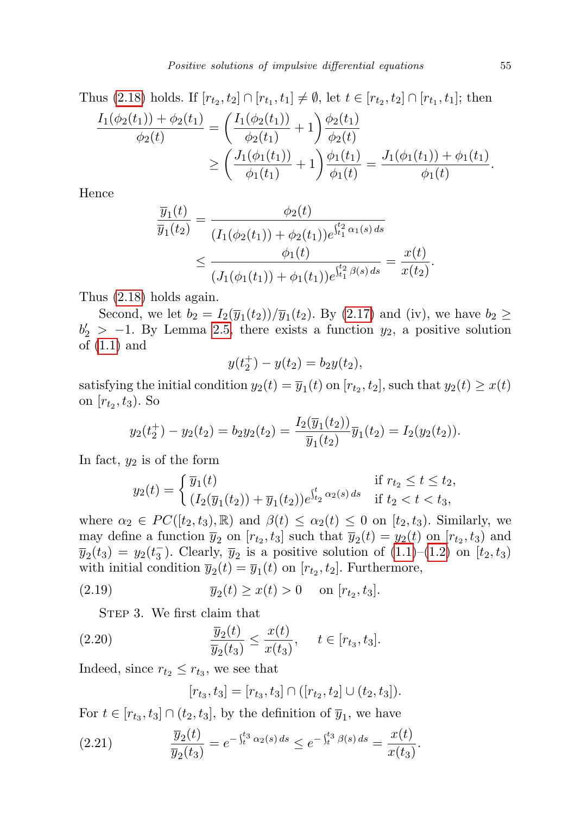Thus [\(2.18\)](#page-11-0) holds. If  $[r_{t_2}, t_2] \cap [r_{t_1}, t_1] \neq \emptyset$ , let  $t \in [r_{t_2}, t_2] \cap [r_{t_1}, t_1]$ ; then

$$
\frac{I_1(\phi_2(t_1)) + \phi_2(t_1)}{\phi_2(t)} = \left(\frac{I_1(\phi_2(t_1))}{\phi_2(t_1)} + 1\right) \frac{\phi_2(t_1)}{\phi_2(t)}
$$

$$
\geq \left(\frac{J_1(\phi_1(t_1))}{\phi_1(t_1)} + 1\right) \frac{\phi_1(t_1)}{\phi_1(t)} = \frac{J_1(\phi_1(t_1)) + \phi_1(t_1)}{\phi_1(t)}.
$$

Hence

$$
\frac{\overline{y}_1(t)}{\overline{y}_1(t_2)} = \frac{\phi_2(t)}{(I_1(\phi_2(t_1)) + \phi_2(t_1))e^{\int_{t_1}^{t_2} \alpha_1(s) ds}} \le \frac{\phi_1(t)}{(J_1(\phi_1(t_1)) + \phi_1(t_1))e^{\int_{t_1}^{t_2} \beta(s) ds}} = \frac{x(t)}{x(t_2)}.
$$

Thus [\(2.18\)](#page-11-0) holds again.

Second, we let  $b_2 = I_2(\overline{y}_1(t_2)) / \overline{y}_1(t_2)$ . By [\(2.17\)](#page-11-1) and (iv), we have  $b_2 \geq$  $b'_2 > -1$ . By Lemma [2.5,](#page-8-2) there exists a function  $y_2$ , a positive solution of [\(1.1\)](#page-0-0) and

$$
y(t_2^+) - y(t_2) = b_2 y(t_2),
$$

satisfying the initial condition  $y_2(t) = \overline{y}_1(t)$  on  $[r_{t_2}, t_2]$ , such that  $y_2(t) \geq x(t)$ on  $[r_{t_2}, t_3)$ . So

$$
y_2(t_2^+) - y_2(t_2) = b_2 y_2(t_2) = \frac{I_2(\overline{y}_1(t_2))}{\overline{y}_1(t_2)} \overline{y}_1(t_2) = I_2(y_2(t_2)).
$$

In fact,  $y_2$  is of the form

$$
y_2(t) = \begin{cases} \overline{y}_1(t) & \text{if } r_{t_2} \le t \le t_2, \\ (I_2(\overline{y}_1(t_2)) + \overline{y}_1(t_2))e^{\int_{t_2}^t \alpha_2(s) ds} & \text{if } t_2 < t < t_3, \end{cases}
$$

where  $\alpha_2 \in PC([t_2, t_3), \mathbb{R})$  and  $\beta(t) \leq \alpha_2(t) \leq 0$  on  $[t_2, t_3)$ . Similarly, we may define a function  $\overline{y}_2$  on  $[r_{t_2}, t_3]$  such that  $\overline{y}_2(t) = y_2(t)$  on  $[r_{t_2}, t_3]$  and  $\overline{y}_2(t_3) = y_2(t_3^-)$ . Clearly,  $\overline{y}_2$  is a positive solution of  $(1.1)$ – $(1.2)$  on  $[t_2, t_3)$ with initial condition  $\overline{y}_2(t) = \overline{y}_1(t)$  on  $[r_{t_2}, t_2]$ . Furthermore,

(2.19) 
$$
\overline{y}_2(t) \ge x(t) > 0
$$
 on  $[r_{t_2}, t_3]$ .

STEP 3. We first claim that

(2.20) 
$$
\frac{\overline{y}_2(t)}{\overline{y}_2(t_3)} \leq \frac{x(t)}{x(t_3)}, \quad t \in [r_{t_3}, t_3].
$$

Indeed, since  $r_{t_2} \leq r_{t_3}$ , we see that

<span id="page-12-2"></span><span id="page-12-1"></span><span id="page-12-0"></span>
$$
[r_{t_3}, t_3] = [r_{t_3}, t_3] \cap ([r_{t_2}, t_2] \cup (t_2, t_3]).
$$

For  $t \in [r_{t_3}, t_3] \cap (t_2, t_3]$ , by the definition of  $\overline{y}_1$ , we have

(2.21) 
$$
\frac{\overline{y}_2(t)}{\overline{y}_2(t_3)} = e^{-\int_t^{t_3} \alpha_2(s) ds} \le e^{-\int_t^{t_3} \beta(s) ds} = \frac{x(t)}{x(t_3)}.
$$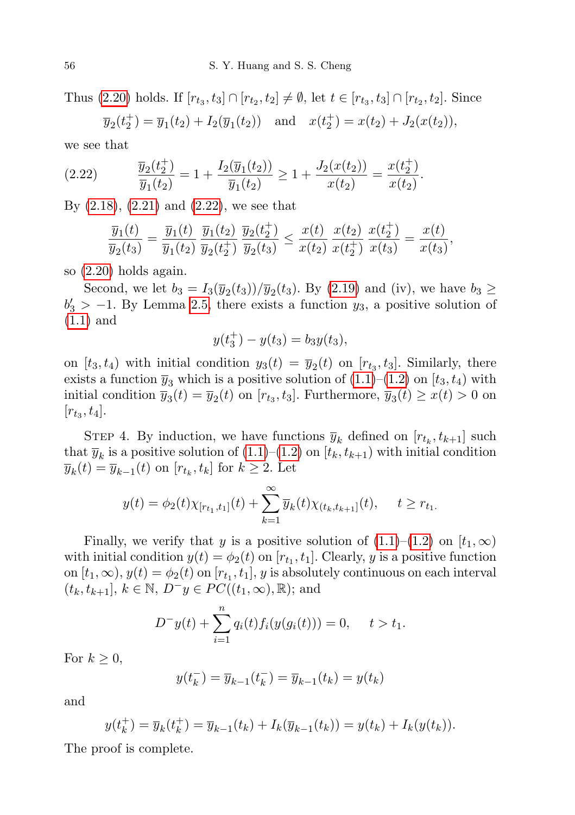Thus [\(2.20\)](#page-12-0) holds. If  $[r_{t_3}, t_3] \cap [r_{t_2}, t_2] \neq \emptyset$ , let  $t \in [r_{t_3}, t_3] \cap [r_{t_2}, t_2]$ . Since  $\overline{y}_2(t_2^+) = \overline{y}_1(t_2) + I_2(\overline{y}_1(t_2))$  and  $x(t_2^+) = x(t_2) + J_2(x(t_2)),$ 

we see that

(2.22) 
$$
\frac{\overline{y}_2(t_2^+)}{\overline{y}_1(t_2)} = 1 + \frac{I_2(\overline{y}_1(t_2))}{\overline{y}_1(t_2)} \ge 1 + \frac{J_2(x(t_2))}{x(t_2)} = \frac{x(t_2^+)}{x(t_2)}.
$$

By [\(2.18\)](#page-11-0), [\(2.21\)](#page-12-1) and [\(2.22\)](#page-13-0), we see that

<span id="page-13-0"></span>
$$
\frac{\overline{y}_1(t)}{\overline{y}_2(t_3)} = \frac{\overline{y}_1(t)}{\overline{y}_1(t_2)} \frac{\overline{y}_1(t_2)}{\overline{y}_2(t_2^+)} \frac{\overline{y}_2(t_2^+)}{\overline{y}_2(t_3)} \leq \frac{x(t)}{x(t_2)} \frac{x(t_2)}{x(t_2^+)} \frac{x(t_2^+)}{x(t_3)} = \frac{x(t)}{x(t_3)},
$$

so [\(2.20\)](#page-12-0) holds again.

Second, we let  $b_3 = I_3(\bar{y}_2(t_3))/\bar{y}_2(t_3)$ . By [\(2.19\)](#page-12-2) and (iv), we have  $b_3 \geq$  $b'_3 > -1$ . By Lemma [2.5,](#page-8-2) there exists a function  $y_3$ , a positive solution of [\(1.1\)](#page-0-0) and

$$
y(t_3^+) - y(t_3) = b_3 y(t_3),
$$

on  $[t_3, t_4)$  with initial condition  $y_3(t) = \overline{y}_2(t)$  on  $[r_{t_3}, t_3]$ . Similarly, there exists a function  $\overline{y}_3$  which is a positive solution of  $(1.1)$ – $(1.2)$  on  $[t_3, t_4)$  with initial condition  $\overline{y}_3(t) = \overline{y}_2(t)$  on  $[r_{t_3}, t_3]$ . Furthermore,  $\overline{y}_3(t) \geq x(t) > 0$  on  $[r_{t_3}, t_4].$ 

STEP 4. By induction, we have functions  $\overline{y}_k$  defined on  $[r_{t_k}, t_{k+1}]$  such that  $\overline{y}_k$  is a positive solution of  $(1.1)$ – $(1.2)$  on  $[t_k, t_{k+1})$  with initial condition  $\overline{y}_k(t) = \overline{y}_{k-1}(t)$  on  $[r_{t_k}, t_k]$  for  $k \geq 2$ . Let

$$
y(t) = \phi_2(t)\chi_{[r_{t_1}, t_1]}(t) + \sum_{k=1}^{\infty} \overline{y}_k(t)\chi_{(t_k, t_{k+1}]}(t), \quad t \geq r_{t_1}.
$$

Finally, we verify that y is a positive solution of  $(1.1)$ – $(1.2)$  on  $[t_1, \infty)$ with initial condition  $y(t) = \phi_2(t)$  on  $[r_{t_1}, t_1]$ . Clearly, y is a positive function on  $[t_1, \infty)$ ,  $y(t) = \phi_2(t)$  on  $[r_{t_1}, t_1]$ ,  $y$  is absolutely continuous on each interval  $(t_k, t_{k+1}], k \in \mathbb{N}, D^-y \in PC((t_1, \infty), \mathbb{R});$  and

$$
D^{-}y(t) + \sum_{i=1}^{n} q_i(t) f_i(y(g_i(t))) = 0, \quad t > t_1.
$$

For  $k \geq 0$ ,

$$
y(t_k^-) = \overline{y}_{k-1}(t_k^-) = \overline{y}_{k-1}(t_k) = y(t_k)
$$

and

$$
y(t_k^+) = \overline{y}_k(t_k^+) = \overline{y}_{k-1}(t_k) + I_k(\overline{y}_{k-1}(t_k)) = y(t_k) + I_k(y(t_k)).
$$

The proof is complete.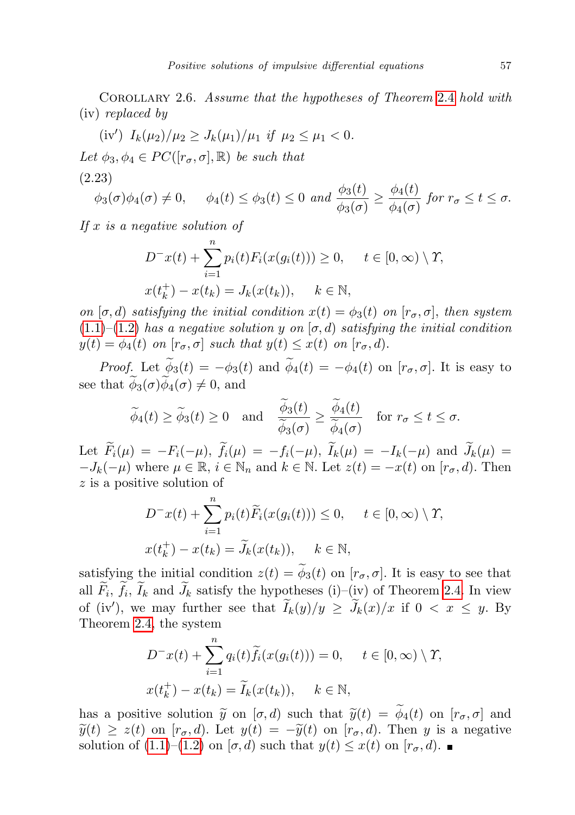<span id="page-14-0"></span>Corollary 2.6. Assume that the hypotheses of Theorem [2](#page-8-0).4 hold with (iv) replaced by

(iv') 
$$
I_k(\mu_2)/\mu_2 \geq J_k(\mu_1)/\mu_1
$$
 if  $\mu_2 \leq \mu_1 < 0$ .  
\nLet  $\phi_3, \phi_4 \in PC([\mathbf{r}_{\sigma}, \sigma], \mathbb{R})$  be such that  
\n(2.23)  
\n $\phi_3(\sigma)\phi_4(\sigma) \neq 0$ ,  $\phi_4(t) \leq \phi_3(t) \leq 0$  and  $\frac{\phi_3(t)}{\phi_3(\sigma)} \geq \frac{\phi_4(t)}{\phi_4(\sigma)}$  for  $\mathbf{r}_{\sigma} \leq t \leq \sigma$ .

 $\phi_3(\sigma)\phi_4(\sigma) \neq 0, \quad \phi_4(t) \leq \phi_3(t) \leq 0 \text{ and } \frac{\phi_3(t)}{\phi_3(\sigma)} \geq \frac{\phi_4(t)}{\phi_4(\sigma)}$ If  $x$  is a negative solution of

 $D^{-}x(t)+\sum_{n=1}^{n}$  $i=1$  $p_i(t)F_i(x(g_i(t))) \geq 0, \quad t \in [0,\infty) \setminus \Upsilon,$  $x(t_k^+)$  $k_{k}^{+}$ ) –  $x(t_{k}) = J_{k}(x(t_{k})), \quad k \in \mathbb{N},$ 

on  $[\sigma, d]$  satisfying the initial condition  $x(t) = \phi_3(t)$  on  $[r_{\sigma}, \sigma]$ , then system  $(1.1)$ – $(1.2)$  has a negative solution y on  $[\sigma, d)$  satisfying the initial condition  $y(t) = \phi_4(t)$  on  $[r_{\sigma}, \sigma]$  such that  $y(t) \leq x(t)$  on  $[r_{\sigma}, d)$ .

*Proof.* Let  $\widetilde{\phi}_3(t) = -\phi_3(t)$  and  $\widetilde{\phi}_4(t) = -\phi_4(t)$  on  $[r_{\sigma}, \sigma]$ . It is easy to see that  $\phi_3(\sigma)\phi_4(\sigma) \neq 0$ , and

$$
\widetilde{\phi}_4(t) \ge \widetilde{\phi}_3(t) \ge 0
$$
 and  $\frac{\widetilde{\phi}_3(t)}{\widetilde{\phi}_3(\sigma)} \ge \frac{\widetilde{\phi}_4(t)}{\widetilde{\phi}_4(\sigma)}$  for  $r_{\sigma} \le t \le \sigma$ .

Let  $\widetilde{F}_i(\mu) = -F_i(-\mu)$ ,  $\widetilde{f}_i(\mu) = -f_i(-\mu)$ ,  $\widetilde{I}_k(\mu) = -I_k(-\mu)$  and  $\widetilde{J}_k(\mu) =$  $-J_k(-\mu)$  where  $\mu \in \mathbb{R}$ ,  $i \in \mathbb{N}_n$  and  $k \in \mathbb{N}$ . Let  $z(t) = -x(t)$  on  $[r_{\sigma}, d)$ . Then z is a positive solution of

$$
D^{-}x(t) + \sum_{i=1}^{n} p_i(t)\widetilde{F}_i(x(g_i(t))) \le 0, \quad t \in [0, \infty) \setminus \Upsilon,
$$
  

$$
x(t_k^+) - x(t_k) = \widetilde{J}_k(x(t_k)), \quad k \in \mathbb{N},
$$

satisfying the initial condition  $z(t) = \tilde{\phi}_3(t)$  on  $[r_{\sigma}, \sigma]$ . It is easy to see that all  $F_i$ ,  $f_i$ ,  $I_k$  and  $J_k$  satisfy the hypotheses (i)–(iv) of Theorem [2.4.](#page-8-0) In view of (iv'), we may further see that  $\widetilde{I}_k(y)/y \geq \widetilde{J}_k(x)/x$  if  $0 < x \leq y$ . By Theorem [2.4,](#page-8-0) the system

$$
D^{-}x(t) + \sum_{i=1}^{n} q_i(t)\widetilde{f}_i(x(g_i(t))) = 0, \quad t \in [0, \infty) \setminus \Upsilon,
$$
  

$$
x(t_k^+) - x(t_k) = \widetilde{I}_k(x(t_k)), \quad k \in \mathbb{N},
$$

<span id="page-14-1"></span>has a positive solution  $\tilde{y}$  on  $[\sigma, d)$  such that  $\tilde{y}(t) = \tilde{\phi}_4(t)$  on  $[r_{\sigma}, \sigma]$  and  $\tilde{y}(t) \geq z(t)$  on  $[r_{\sigma}, d]$ . Let  $y(t) = -\tilde{y}(t)$  on  $[r_{\sigma}, d]$ . Then y is a negative solution of  $(1.1)$ – $(1.2)$  on  $[\sigma, d)$  such that  $y(t) \leq x(t)$  on  $[r_{\sigma}, d)$ .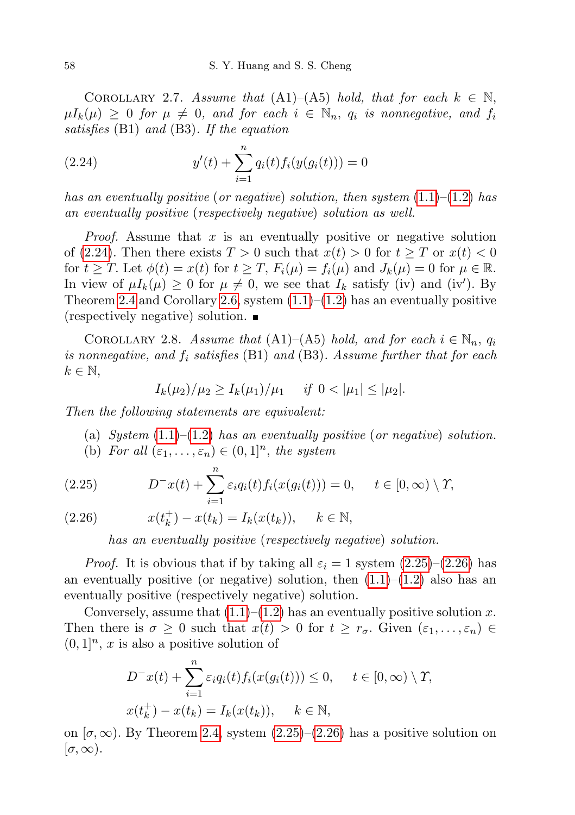COROLLARY 2.7. Assume that  $(A1)–(A5)$  hold, that for each  $k \in \mathbb{N}$ ,  $\mu I_k(\mu) \geq 0$  for  $\mu \neq 0$ , and for each  $i \in \mathbb{N}_n$ ,  $q_i$  is nonnegative, and  $f_i$ satisfies (B1) and (B3). If the equation

<span id="page-15-0"></span>(2.24) 
$$
y'(t) + \sum_{i=1}^{n} q_i(t) f_i(y(g_i(t))) = 0
$$

has an eventually positive (or negative) solution, then system  $(1.1)$ – $(1.2)$  has an eventually positive (respectively negative) solution as well.

*Proof.* Assume that  $x$  is an eventually positive or negative solution of [\(2.24\)](#page-15-0). Then there exists  $T > 0$  such that  $x(t) > 0$  for  $t \geq T$  or  $x(t) < 0$ for  $t \geq T$ . Let  $\phi(t) = x(t)$  for  $t \geq T$ ,  $F_i(\mu) = f_i(\mu)$  and  $J_k(\mu) = 0$  for  $\mu \in \mathbb{R}$ . In view of  $\mu I_k(\mu) \geq 0$  for  $\mu \neq 0$ , we see that  $I_k$  satisfy (iv) and (iv'). By Theorem [2.4](#page-8-0) and Corollary [2.6,](#page-14-0) system  $(1.1)$ – $(1.2)$  has an eventually positive (respectively negative) solution.

<span id="page-15-1"></span>COROLLARY 2.8. Assume that  $(A1)–(A5)$  hold, and for each  $i \in \mathbb{N}_n$ ,  $q_i$ is nonnegative, and  $f_i$  satisfies (B1) and (B3). Assume further that for each  $k \in \mathbb{N},$ 

$$
I_k(\mu_2)/\mu_2 \ge I_k(\mu_1)/\mu_1 \quad \text{if } 0 < |\mu_1| \le |\mu_2|.
$$

Then the following statements are equivalent:

(a) System  $(1.1)$ – $(1.2)$  has an eventually positive (or negative) solution. (b) For all  $(\varepsilon_1, \ldots, \varepsilon_n) \in (0,1]^n$ , the system

(2.25) 
$$
D^{-}x(t) + \sum_{i=1}^{n} \varepsilon_i q_i(t) f_i(x(g_i(t))) = 0, \quad t \in [0, \infty) \setminus \Upsilon,
$$

 $x(t_k^+)$ (2.26)  $x(t_k^+) - x(t_k) = I_k(x(t_k)), \quad k \in \mathbb{N},$ 

has an eventually positive (respectively negative) solution.

*Proof.* It is obvious that if by taking all  $\varepsilon_i = 1$  system  $(2.25)$ – $(2.26)$  has an eventually positive (or negative) solution, then  $(1.1)$ – $(1.2)$  also has an eventually positive (respectively negative) solution.

Conversely, assume that  $(1.1)$ – $(1.2)$  has an eventually positive solution x. Then there is  $\sigma \geq 0$  such that  $x(t) > 0$  for  $t \geq r_{\sigma}$ . Given  $(\varepsilon_1, \ldots, \varepsilon_n) \in$  $(0, 1]<sup>n</sup>$ , x is also a positive solution of

$$
D^{-}x(t) + \sum_{i=1}^{n} \varepsilon_i q_i(t) f_i(x(g_i(t))) \le 0, \quad t \in [0, \infty) \setminus \Upsilon,
$$
  

$$
x(t_k^+) - x(t_k) = I_k(x(t_k)), \quad k \in \mathbb{N},
$$

on  $[\sigma, \infty)$ . By Theorem [2.4,](#page-8-0) system [\(2.25\)](#page-15-1)–[\(2.26\)](#page-15-1) has a positive solution on  $[\sigma, \infty).$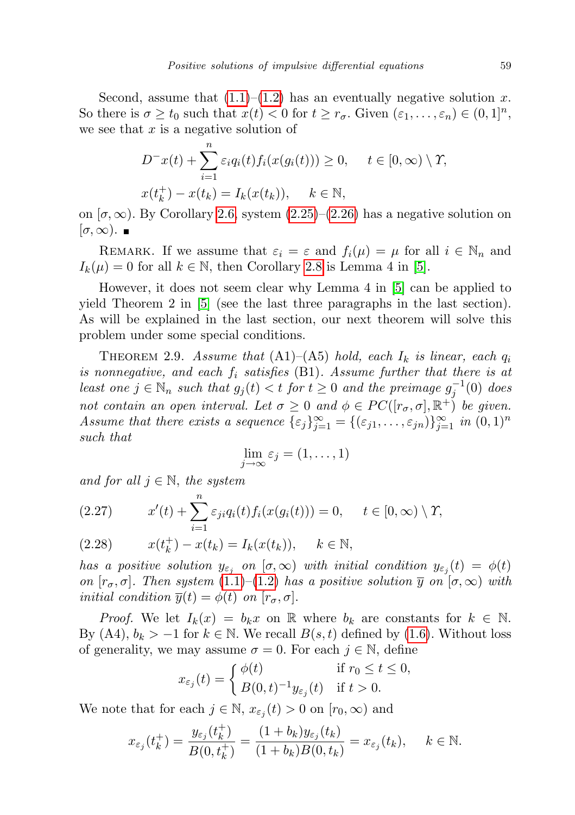Second, assume that  $(1.1)$ – $(1.2)$  has an eventually negative solution x. So there is  $\sigma \ge t_0$  such that  $x(t) < 0$  for  $t \ge r_\sigma$ . Given  $(\varepsilon_1, \ldots, \varepsilon_n) \in (0,1]^n$ , we see that  $x$  is a negative solution of

$$
D^{-}x(t) + \sum_{i=1}^{n} \varepsilon_i q_i(t) f_i(x(g_i(t))) \ge 0, \quad t \in [0, \infty) \setminus \Upsilon,
$$
  

$$
x(t_k^+) - x(t_k) = I_k(x(t_k)), \quad k \in \mathbb{N},
$$

on  $[\sigma, \infty)$ . By Corollary [2.6,](#page-14-0) system  $(2.25)$ – $(2.26)$  has a negative solution on  $[\sigma, \infty)$ .

REMARK. If we assume that  $\varepsilon_i = \varepsilon$  and  $f_i(\mu) = \mu$  for all  $i \in \mathbb{N}_n$  and  $I_k(\mu) = 0$  for all  $k \in \mathbb{N}$ , then Corollary [2.8](#page-15-1) is Lemma 4 in [\[5\]](#page-27-6).

However, it does not seem clear why Lemma 4 in [\[5\]](#page-27-6) can be applied to yield Theorem 2 in [\[5\]](#page-27-6) (see the last three paragraphs in the last section). As will be explained in the last section, our next theorem will solve this problem under some special conditions.

<span id="page-16-1"></span>THEOREM 2.9. Assume that  $(A1)$ – $(A5)$  hold, each  $I_k$  is linear, each  $q_i$ is nonnegative, and each  $f_i$  satisfies (B1). Assume further that there is at least one  $j \in \mathbb{N}_n$  such that  $g_j(t) < t$  for  $t \geq 0$  and the preimage  $g_j^{-1}(0)$  does not contain an open interval. Let  $\sigma \geq 0$  and  $\phi \in PC([r_{\sigma}, \sigma], \mathbb{R}^+)$  be given. Assume that there exists a sequence  $\{\varepsilon_j\}_{j=1}^{\infty} = \{(\varepsilon_{j1}, \ldots, \varepsilon_{jn})\}_{j=1}^{\infty}$  in  $(0, 1)^n$ such that

$$
\lim_{j \to \infty} \varepsilon_j = (1, \dots, 1)
$$

and for all  $j \in \mathbb{N}$ , the system

<span id="page-16-0"></span>(2.27) 
$$
x'(t) + \sum_{i=1}^{n} \varepsilon_{ji} q_i(t) f_i(x(g_i(t))) = 0, \quad t \in [0, \infty) \setminus \Upsilon,
$$

(2.28) 
$$
x(t_k^+) - x(t_k) = I_k(x(t_k)), \quad k \in \mathbb{N},
$$

has a positive solution  $y_{\varepsilon_j}$  on  $[\sigma,\infty)$  with initial condition  $y_{\varepsilon_j}(t) = \phi(t)$ on  $[r_{\sigma}, \sigma]$ . Then system [\(1.1\)](#page-0-0)–[\(1.2\)](#page-0-0) has a positive solution  $\overline{y}$  on  $(\sigma, \infty)$  with *initial condition*  $\overline{y}(t) = \phi(t)$  *on*  $[r_{\sigma}, \sigma]$ .

*Proof.* We let  $I_k(x) = b_k x$  on R where  $b_k$  are constants for  $k \in \mathbb{N}$ . By  $(A4)$ ,  $b_k > -1$  for  $k \in \mathbb{N}$ . We recall  $B(s,t)$  defined by  $(1.6)$ . Without loss of generality, we may assume  $\sigma = 0$ . For each  $j \in \mathbb{N}$ , define

$$
x_{\varepsilon_j}(t) = \begin{cases} \phi(t) & \text{if } r_0 \le t \le 0, \\ B(0, t)^{-1} y_{\varepsilon_j}(t) & \text{if } t > 0. \end{cases}
$$

We note that for each  $j \in \mathbb{N}$ ,  $x_{\varepsilon_j}(t) > 0$  on  $[r_0, \infty)$  and

$$
x_{\varepsilon_j}(t_k^+) = \frac{y_{\varepsilon_j}(t_k^+)}{B(0, t_k^+)} = \frac{(1+b_k)y_{\varepsilon_j}(t_k)}{(1+b_k)B(0, t_k)} = x_{\varepsilon_j}(t_k), \quad k \in \mathbb{N}.
$$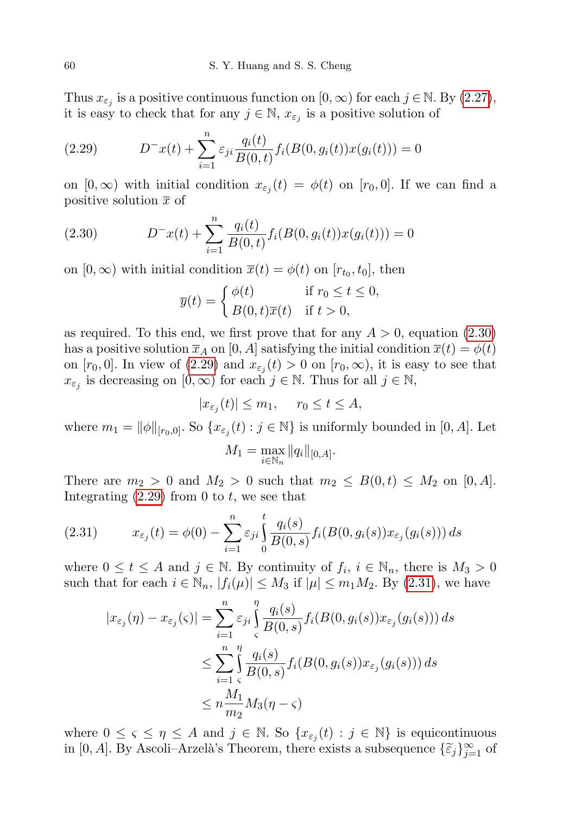Thus  $x_{\varepsilon_j}$  is a positive continuous function on  $[0, \infty)$  for each  $j \in \mathbb{N}$ . By  $(2.27)$ , it is easy to check that for any  $j \in \mathbb{N}$ ,  $x_{\varepsilon_j}$  is a positive solution of

<span id="page-17-1"></span>(2.29) 
$$
D^{-}x(t) + \sum_{i=1}^{n} \varepsilon_{ji} \frac{q_i(t)}{B(0,t)} f_i(B(0,g_i(t))x(g_i(t))) = 0
$$

on  $[0, \infty)$  with initial condition  $x_{\varepsilon_i}(t) = \phi(t)$  on  $[r_0, 0]$ . If we can find a positive solution  $\bar{x}$  of

(2.30) 
$$
D^{-}x(t) + \sum_{i=1}^{n} \frac{q_i(t)}{B(0,t)} f_i(B(0,g_i(t))x(g_i(t))) = 0
$$

on  $[0, \infty)$  with initial condition  $\overline{x}(t) = \phi(t)$  on  $[r_{t_0}, t_0]$ , then

<span id="page-17-0"></span>
$$
\overline{y}(t) = \begin{cases} \phi(t) & \text{if } r_0 \le t \le 0, \\ B(0, t)\overline{x}(t) & \text{if } t > 0, \end{cases}
$$

as required. To this end, we first prove that for any  $A > 0$ , equation [\(2.30\)](#page-17-0) has a positive solution  $\bar{x}_A$  on [0, A] satisfying the initial condition  $\bar{x}(t) = \phi(t)$ on  $[r_0, 0]$ . In view of  $(2.29)$  and  $x_{\varepsilon_j}(t) > 0$  on  $[r_0, \infty)$ , it is easy to see that  $x_{\varepsilon_j}$  is decreasing on  $[0, \infty)$  for each  $j \in \mathbb{N}$ . Thus for all  $j \in \mathbb{N}$ ,

$$
|x_{\varepsilon_j}(t)| \le m_1, \quad r_0 \le t \le A,
$$

where  $m_1 = ||\phi||_{[r_0,0]}$ . So  $\{x_{\varepsilon_j}(t) : j \in \mathbb{N}\}\$ is uniformly bounded in  $[0, A]$ . Let

$$
M_1 = \max_{i \in \mathbb{N}_n} \|q_i\|_{[0,A]}.
$$

There are  $m_2 > 0$  and  $M_2 > 0$  such that  $m_2 \leq B(0,t) \leq M_2$  on [0, A]. Integrating  $(2.29)$  from 0 to t, we see that

<span id="page-17-2"></span>(2.31) 
$$
x_{\varepsilon_j}(t) = \phi(0) - \sum_{i=1}^n \varepsilon_{ji} \int_0^t \frac{q_i(s)}{B(0,s)} f_i(B(0,g_i(s)) x_{\varepsilon_j}(g_i(s))) ds
$$

where  $0 \le t \le A$  and  $j \in \mathbb{N}$ . By continuity of  $f_i, i \in \mathbb{N}_n$ , there is  $M_3 > 0$ such that for each  $i \in \mathbb{N}_n$ ,  $|f_i(\mu)| \leq M_3$  if  $|\mu| \leq m_1 M_2$ . By [\(2.31\)](#page-17-2), we have

$$
|x_{\varepsilon_j}(\eta) - x_{\varepsilon_j}(\varsigma)| = \sum_{i=1}^n \varepsilon_{ji} \int_{\varsigma}^{\eta} \frac{q_i(s)}{B(0, s)} f_i(B(0, g_i(s)) x_{\varepsilon_j}(g_i(s))) ds
$$
  

$$
\leq \sum_{i=1}^n \int_{\varsigma}^{\eta} \frac{q_i(s)}{B(0, s)} f_i(B(0, g_i(s)) x_{\varepsilon_j}(g_i(s))) ds
$$
  

$$
\leq n \frac{M_1}{m_2} M_3(\eta - \varsigma)
$$

where  $0 \leq \varsigma \leq \eta \leq A$  and  $j \in \mathbb{N}$ . So  $\{x_{\varepsilon_j}(t) : j \in \mathbb{N}\}\)$  is equicontinuous in [0, A]. By Ascoli–Arzelà's Theorem, there exists a subsequence  $\{\widetilde{\varepsilon}_j\}_{j=1}^\infty$  of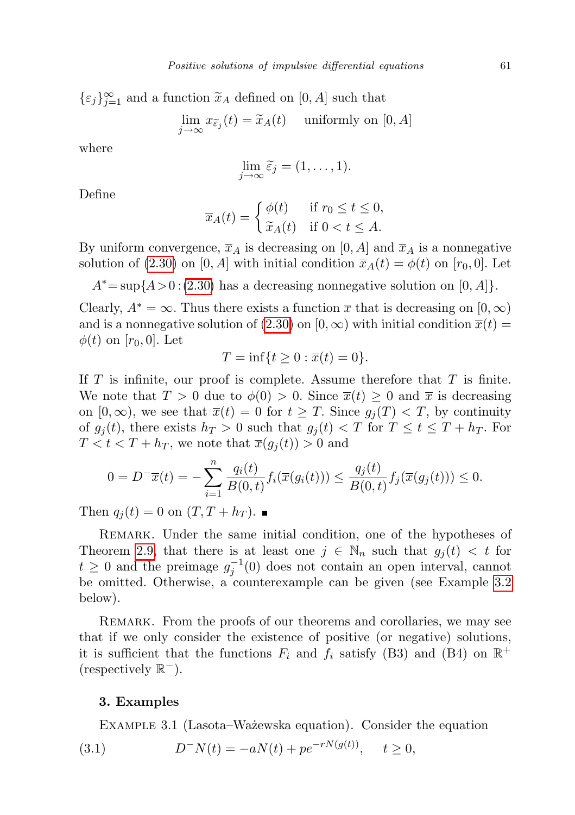$\{\varepsilon_j\}_{j=1}^{\infty}$  and a function  $\widetilde{x}_A$  defined on  $[0, A]$  such that

$$
\lim_{j \to \infty} x_{\widetilde{\varepsilon}_j}(t) = \widetilde{x}_A(t) \quad \text{ uniformly on } [0, A]
$$

where

$$
\lim_{j \to \infty} \widetilde{\varepsilon}_j = (1, \dots, 1).
$$

Define

$$
\overline{x}_A(t) = \begin{cases} \phi(t) & \text{if } r_0 \le t \le 0, \\ \widetilde{x}_A(t) & \text{if } 0 < t \le A. \end{cases}
$$

By uniform convergence,  $\overline{x}_A$  is decreasing on  $[0, A]$  and  $\overline{x}_A$  is a nonnegative solution of [\(2.30\)](#page-17-0) on [0, A] with initial condition  $\bar{x}_A(t) = \phi(t)$  on [ $r_0$ , 0]. Let

 $A^* = \sup\{A > 0 : (2.30)$  $A^* = \sup\{A > 0 : (2.30)$  has a decreasing nonnegative solution on  $[0, A]\}.$ 

Clearly,  $A^* = \infty$ . Thus there exists a function  $\bar{x}$  that is decreasing on  $[0, \infty)$ and is a nonnegative solution of [\(2.30\)](#page-17-0) on [0,  $\infty$ ) with initial condition  $\overline{x}(t)$  =  $\phi(t)$  on  $[r_0, 0]$ . Let

$$
T = \inf\{t \ge 0 : \overline{x}(t) = 0\}.
$$

If  $T$  is infinite, our proof is complete. Assume therefore that  $T$  is finite. We note that  $T > 0$  due to  $\phi(0) > 0$ . Since  $\overline{x}(t) \geq 0$  and  $\overline{x}$  is decreasing on  $[0, \infty)$ , we see that  $\overline{x}(t) = 0$  for  $t \geq T$ . Since  $g_i(T) < T$ , by continuity of  $g_i(t)$ , there exists  $h_T > 0$  such that  $g_i(t) < T$  for  $T \le t \le T + h_T$ . For  $T < t < T + h_T$ , we note that  $\overline{x}(g_i(t)) > 0$  and

$$
0 = D^{-} \overline{x}(t) = -\sum_{i=1}^{n} \frac{q_i(t)}{B(0,t)} f_i(\overline{x}(g_i(t))) \le \frac{q_j(t)}{B(0,t)} f_j(\overline{x}(g_j(t))) \le 0.
$$

Then  $q_j(t) = 0$  on  $(T, T + h_T)$ .

REMARK. Under the same initial condition, one of the hypotheses of Theorem [2.9,](#page-16-1) that there is at least one  $j \in \mathbb{N}_n$  such that  $g_j(t) < t$  for  $t \geq 0$  and the preimage  $g_j^{-1}(0)$  does not contain an open interval, cannot be omitted. Otherwise, a counterexample can be given (see Example [3.2](#page-21-0) below).

REMARK. From the proofs of our theorems and corollaries, we may see that if we only consider the existence of positive (or negative) solutions, it is sufficient that the functions  $F_i$  and  $f_i$  satisfy (B3) and (B4) on  $\mathbb{R}^+$  $(respectively \mathbb{R}^-).$ 

## <span id="page-18-1"></span>3. Examples

<span id="page-18-0"></span>EXAMPLE 3.1 (Lasota–Wa $\dot{z}$ ewska equation). Consider the equation

(3.1) 
$$
D^{-}N(t) = -aN(t) + pe^{-rN(g(t))}, \quad t \ge 0,
$$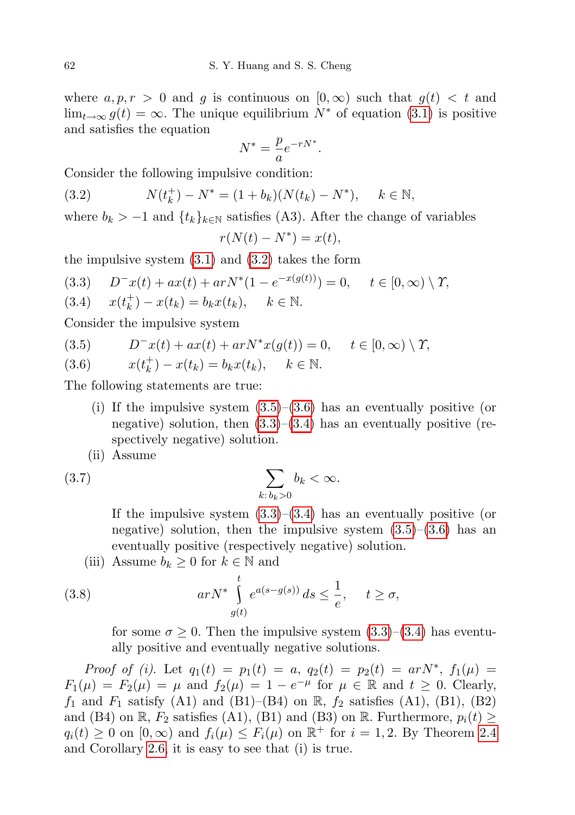where  $a, p, r > 0$  and q is continuous on  $[0, \infty)$  such that  $q(t) < t$  and  $\lim_{t\to\infty} g(t) = \infty$ . The unique equilibrium  $N^*$  of equation [\(3.1\)](#page-18-0) is positive and satisfies the equation

$$
N^* = \frac{p}{a}e^{-rN^*}.
$$

Consider the following impulsive condition:

<span id="page-19-0"></span>(3.2) 
$$
N(t_k^+) - N^* = (1 + b_k)(N(t_k) - N^*), \quad k \in \mathbb{N},
$$

where  $b_k > -1$  and  $\{t_k\}_{k \in \mathbb{N}}$  satisfies (A3). After the change of variables  $r(N(t) - N^*) = x(t),$ 

the impulsive system  $(3.1)$  and  $(3.2)$  takes the form

$$
(3.3) \tD^{-}x(t) + ax(t) + arN^{*}(1 - e^{-x(g(t))}) = 0, \t t \in [0, \infty) \setminus \Upsilon,
$$

 $x(t_k^+$ (3.4)  $x(t_k^+) - x(t_k) = b_k x(t_k), \quad k \in \mathbb{N}.$ 

Consider the impulsive system

(3.5) 
$$
D^{-}x(t) + ax(t) + arN^{*}x(g(t)) = 0, \quad t \in [0, \infty) \setminus \Upsilon,
$$

$$
(3.6) \t x(t_k^+) - x(t_k) = b_k x(t_k), \t k \in \mathbb{N}.
$$

The following statements are true:

- (i) If the impulsive system  $(3.5)$ – $(3.6)$  has an eventually positive (or negative) solution, then  $(3.3)$ – $(3.4)$  has an eventually positive (respectively negative) solution.
- (ii) Assume

$$
\sum_{k:\,b_k>0}b_k<\infty.
$$

<span id="page-19-1"></span>If the impulsive system  $(3.3)$ – $(3.4)$  has an eventually positive (or negative) solution, then the impulsive system  $(3.5)$ – $(3.6)$  has an eventually positive (respectively negative) solution.

(iii) Assume  $b_k \geq 0$  for  $k \in \mathbb{N}$  and

(3.8) 
$$
arN^* \int_{g(t)}^t e^{a(s-g(s))} ds \leq \frac{1}{e}, \quad t \geq \sigma,
$$

<span id="page-19-2"></span>for some  $\sigma \geq 0$ . Then the impulsive system  $(3.3)$ – $(3.4)$  has eventually positive and eventually negative solutions.

Proof of (i). Let  $q_1(t) = p_1(t) = a, q_2(t) = p_2(t) = arN^*, f_1(\mu) =$  $F_1(\mu) = F_2(\mu) = \mu$  and  $f_2(\mu) = 1 - e^{-\mu}$  for  $\mu \in \mathbb{R}$  and  $t \geq 0$ . Clearly,  $f_1$  and  $F_1$  satisfy (A1) and (B1)–(B4) on  $\mathbb{R}$ ,  $f_2$  satisfies (A1), (B1), (B2) and (B4) on R,  $F_2$  satisfies (A1), (B1) and (B3) on R. Furthermore,  $p_i(t) \geq$  $q_i(t) \geq 0$  on  $[0,\infty)$  and  $f_i(\mu) \leq F_i(\mu)$  on  $\mathbb{R}^+$  for  $i = 1,2$ . By Theorem [2.4](#page-8-0) and Corollary [2.6,](#page-14-0) it is easy to see that (i) is true.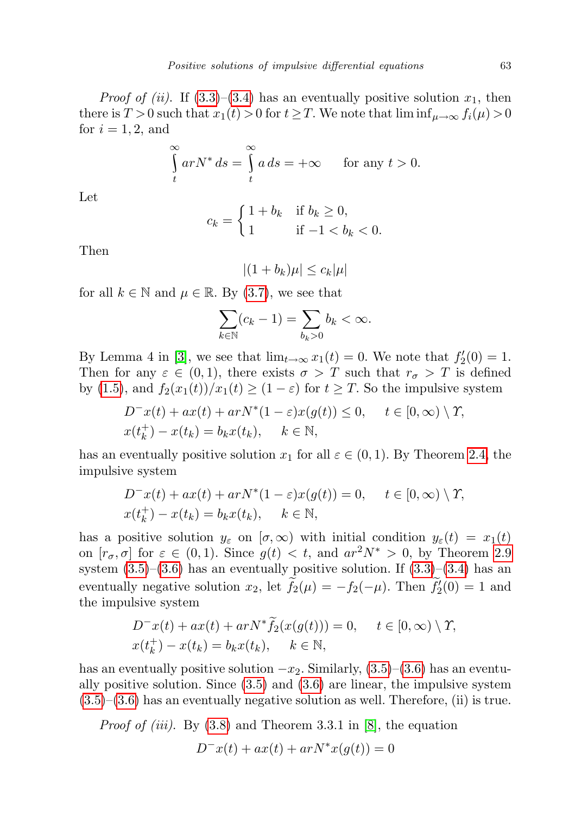*Proof of (ii).* If [\(3.3\)](#page-19-0)–[\(3.4\)](#page-19-0) has an eventually positive solution  $x_1$ , then there is  $T > 0$  such that  $x_1(t) > 0$  for  $t \geq T$ . We note that  $\liminf_{\mu \to \infty} f_i(\mu) > 0$ for  $i = 1, 2$ , and

$$
\int_{t}^{\infty} arN^{*} ds = \int_{t}^{\infty} a ds = +\infty \quad \text{for any } t > 0.
$$

Let

$$
c_k = \begin{cases} 1 + b_k & \text{if } b_k \ge 0, \\ 1 & \text{if } -1 < b_k < 0. \end{cases}
$$

Then

 $|(1 + b_k)\mu| \leq c_k|\mu|$ 

for all  $k \in \mathbb{N}$  and  $\mu \in \mathbb{R}$ . By [\(3.7\)](#page-19-1), we see that

$$
\sum_{k \in \mathbb{N}} (c_k - 1) = \sum_{b_k > 0} b_k < \infty.
$$

By Lemma 4 in [\[3\]](#page-27-5), we see that  $\lim_{t\to\infty} x_1(t) = 0$ . We note that  $f_2'(0) = 1$ . Then for any  $\varepsilon \in (0,1)$ , there exists  $\sigma > T$  such that  $r_{\sigma} > T$  is defined by [\(1.5\)](#page-2-0), and  $f_2(x_1(t))/x_1(t) \geq (1 - \varepsilon)$  for  $t \geq T$ . So the impulsive system

$$
D^{-}x(t) + ax(t) + arN^{*}(1 - \varepsilon)x(g(t)) \le 0, \quad t \in [0, \infty) \setminus \Upsilon,
$$
  

$$
x(t_{k}^{+}) - x(t_{k}) = b_{k}x(t_{k}), \quad k \in \mathbb{N},
$$

has an eventually positive solution  $x_1$  for all  $\varepsilon \in (0,1)$ . By Theorem [2.4,](#page-8-0) the impulsive system

$$
D^{-}x(t) + ax(t) + arN^{*}(1 - \varepsilon)x(g(t)) = 0, \quad t \in [0, \infty) \setminus \Upsilon,
$$
  

$$
x(t_{k}^{+}) - x(t_{k}) = b_{k}x(t_{k}), \quad k \in \mathbb{N},
$$

has a positive solution  $y_{\varepsilon}$  on  $[\sigma, \infty)$  with initial condition  $y_{\varepsilon}(t) = x_1(t)$ on  $[r_{\sigma}, \sigma]$  for  $\varepsilon \in (0, 1)$ . Since  $g(t) < t$ , and  $ar^2N^* > 0$ , by Theorem [2.9](#page-16-1) system  $(3.5)$ – $(3.6)$  has an eventually positive solution. If  $(3.3)$ – $(3.4)$  has an eventually negative solution  $x_2$ , let  $\tilde{f}_2(\mu) = -f_2(-\mu)$ . Then  $\tilde{f}'_2(0) = 1$  and the impulsive system

$$
D^{-}x(t) + ax(t) + arN^{*}\tilde{f}_{2}(x(g(t))) = 0, \quad t \in [0, \infty) \setminus \Upsilon,
$$
  

$$
x(t_{k}^{+}) - x(t_{k}) = b_{k}x(t_{k}), \quad k \in \mathbb{N},
$$

has an eventually positive solution  $-x_2$ . Similarly, [\(3.5\)](#page-19-0)–[\(3.6\)](#page-19-0) has an eventually positive solution. Since [\(3.5\)](#page-19-0) and [\(3.6\)](#page-19-0) are linear, the impulsive system  $(3.5)$ – $(3.6)$  has an eventually negative solution as well. Therefore, (ii) is true.

*Proof of (iii).* By  $(3.8)$  and Theorem 3.3.1 in [\[8\]](#page-27-8), the equation  $D^{-}x(t) + ax(t) + arN^{*}x(q(t)) = 0$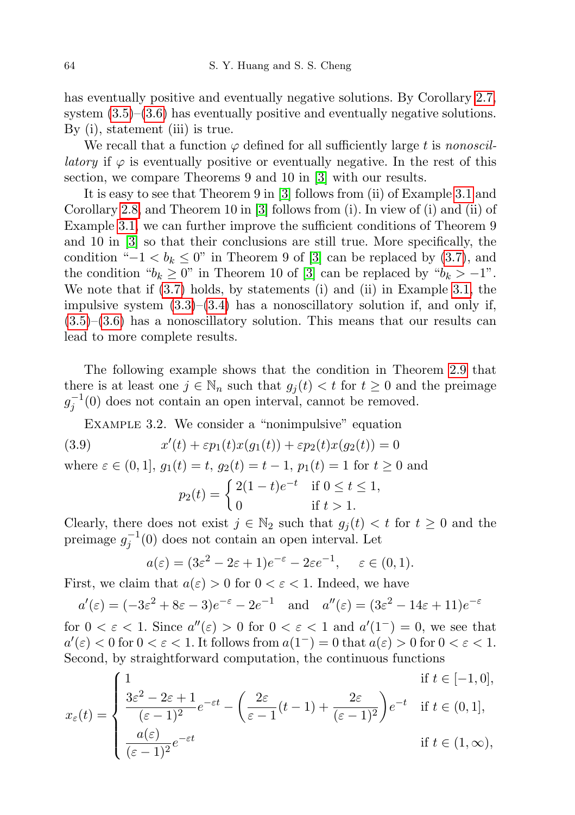has eventually positive and eventually negative solutions. By Corollary [2.7,](#page-14-1) system  $(3.5)$ – $(3.6)$  has eventually positive and eventually negative solutions. By (i), statement (iii) is true.

We recall that a function  $\varphi$  defined for all sufficiently large t is nonoscil*latory* if  $\varphi$  is eventually positive or eventually negative. In the rest of this section, we compare Theorems 9 and 10 in [\[3\]](#page-27-5) with our results.

It is easy to see that Theorem 9 in [\[3\]](#page-27-5) follows from (ii) of Example [3.1](#page-18-1) and Corollary [2.8,](#page-15-1) and Theorem 10 in [\[3\]](#page-27-5) follows from (i). In view of (i) and (ii) of Example [3.1,](#page-18-1) we can further improve the sufficient conditions of Theorem 9 and 10 in [\[3\]](#page-27-5) so that their conclusions are still true. More specifically, the condition " $-1 < b_k \leq 0$ " in Theorem 9 of [\[3\]](#page-27-5) can be replaced by [\(3.7\)](#page-19-1), and the condition " $b_k \geq 0$ " in Theorem 10 of [\[3\]](#page-27-5) can be replaced by " $b_k > -1$ ". We note that if [\(3.7\)](#page-19-1) holds, by statements (i) and (ii) in Example [3.1,](#page-18-1) the impulsive system  $(3.3)$ – $(3.4)$  has a nonoscillatory solution if, and only if,  $(3.5)$ – $(3.6)$  has a nonoscillatory solution. This means that our results can lead to more complete results.

The following example shows that the condition in Theorem [2.9](#page-16-1) that there is at least one  $j \in \mathbb{N}_n$  such that  $g_i(t) < t$  for  $t \geq 0$  and the preimage  $g_j^{-1}(0)$  does not contain an open interval, cannot be removed.

<span id="page-21-0"></span>Example 3.2. We consider a "nonimpulsive" equation

(3.9) 
$$
x'(t) + \varepsilon p_1(t)x(g_1(t)) + \varepsilon p_2(t)x(g_2(t)) = 0
$$

where  $\varepsilon \in (0, 1], g_1(t) = t, g_2(t) = t - 1, p_1(t) = 1$  for  $t \ge 0$  and

<span id="page-21-1"></span>
$$
p_2(t) = \begin{cases} 2(1-t)e^{-t} & \text{if } 0 \le t \le 1, \\ 0 & \text{if } t > 1. \end{cases}
$$

Clearly, there does not exist  $j \in \mathbb{N}_2$  such that  $g_j(t) < t$  for  $t \geq 0$  and the preimage  $g_j^{-1}(0)$  does not contain an open interval. Let

$$
a(\varepsilon) = (3\varepsilon^2 - 2\varepsilon + 1)e^{-\varepsilon} - 2\varepsilon e^{-1}, \quad \varepsilon \in (0, 1).
$$

First, we claim that  $a(\varepsilon) > 0$  for  $0 < \varepsilon < 1$ . Indeed, we have

$$
a'(\varepsilon) = (-3\varepsilon^2 + 8\varepsilon - 3)e^{-\varepsilon} - 2e^{-1}
$$
 and  $a''(\varepsilon) = (3\varepsilon^2 - 14\varepsilon + 11)e^{-\varepsilon}$ 

for  $0 < \varepsilon < 1$ . Since  $a''(\varepsilon) > 0$  for  $0 < \varepsilon < 1$  and  $a'(1^-) = 0$ , we see that  $a'(\varepsilon) < 0$  for  $0 < \varepsilon < 1$ . It follows from  $a(1^-) = 0$  that  $a(\varepsilon) > 0$  for  $0 < \varepsilon < 1$ . Second, by straightforward computation, the continuous functions

$$
x_{\varepsilon}(t) = \begin{cases} 1 & \text{if } t \in [-1,0], \\ \frac{3\varepsilon^2 - 2\varepsilon + 1}{(\varepsilon - 1)^2} e^{-\varepsilon t} - \left(\frac{2\varepsilon}{\varepsilon - 1}(t - 1) + \frac{2\varepsilon}{(\varepsilon - 1)^2}\right) e^{-t} & \text{if } t \in (0,1], \\ \frac{a(\varepsilon)}{(\varepsilon - 1)^2} e^{-\varepsilon t} & \text{if } t \in (1,\infty), \end{cases}
$$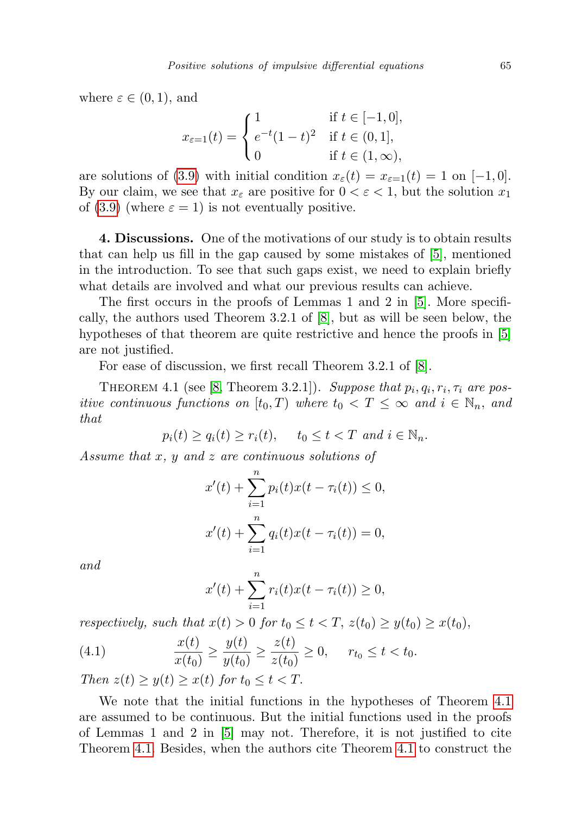where  $\varepsilon \in (0,1)$ , and

$$
x_{\varepsilon=1}(t) = \begin{cases} 1 & \text{if } t \in [-1,0], \\ e^{-t}(1-t)^2 & \text{if } t \in (0,1], \\ 0 & \text{if } t \in (1,\infty), \end{cases}
$$

are solutions of [\(3.9\)](#page-21-1) with initial condition  $x_{\varepsilon}(t) = x_{\varepsilon=1}(t) = 1$  on  $[-1, 0]$ . By our claim, we see that  $x_{\varepsilon}$  are positive for  $0 < \varepsilon < 1$ , but the solution  $x_1$ of [\(3.9\)](#page-21-1) (where  $\varepsilon = 1$ ) is not eventually positive.

4. Discussions. One of the motivations of our study is to obtain results that can help us fill in the gap caused by some mistakes of [\[5\]](#page-27-6), mentioned in the introduction. To see that such gaps exist, we need to explain briefly what details are involved and what our previous results can achieve.

The first occurs in the proofs of Lemmas 1 and 2 in [\[5\]](#page-27-6). More specifically, the authors used Theorem 3.2.1 of [\[8\]](#page-27-8), but as will be seen below, the hypotheses of that theorem are quite restrictive and hence the proofs in [\[5\]](#page-27-6) are not justified.

For ease of discussion, we first recall Theorem 3.2.1 of [\[8\]](#page-27-8).

<span id="page-22-0"></span>THEOREM 4.1 (see [\[8,](#page-27-8) Theorem 3.2.1]). Suppose that  $p_i, q_i, r_i, \tau_i$  are positive continuous functions on  $[t_0, T)$  where  $t_0 < T \leq \infty$  and  $i \in \mathbb{N}_n$ , and that

 $p_i(t) > q_i(t) > r_i(t)$ ,  $t_0 \le t \le T$  and  $i \in \mathbb{N}_n$ .

Assume that x, y and z are continuous solutions of

$$
x'(t) + \sum_{i=1}^{n} p_i(t)x(t - \tau_i(t)) \le 0,
$$
  

$$
x'(t) + \sum_{i=1}^{n} q_i(t)x(t - \tau_i(t)) = 0,
$$

and

<span id="page-22-1"></span>
$$
x'(t) + \sum_{i=1}^{n} r_i(t)x(t - \tau_i(t)) \ge 0,
$$

respectively, such that  $x(t) > 0$  for  $t_0 \le t < T$ ,  $z(t_0) \ge y(t_0) \ge x(t_0)$ ,

(4.1) 
$$
\frac{x(t)}{x(t_0)} \ge \frac{y(t)}{y(t_0)} \ge \frac{z(t)}{z(t_0)} \ge 0, \quad r_{t_0} \le t < t_0.
$$

Then  $z(t) \geq y(t) \geq x(t)$  for  $t_0 \leq t < T$ .

We note that the initial functions in the hypotheses of Theorem [4.1](#page-22-0) are assumed to be continuous. But the initial functions used in the proofs of Lemmas 1 and 2 in [\[5\]](#page-27-6) may not. Therefore, it is not justified to cite Theorem [4.1.](#page-22-0) Besides, when the authors cite Theorem [4.1](#page-22-0) to construct the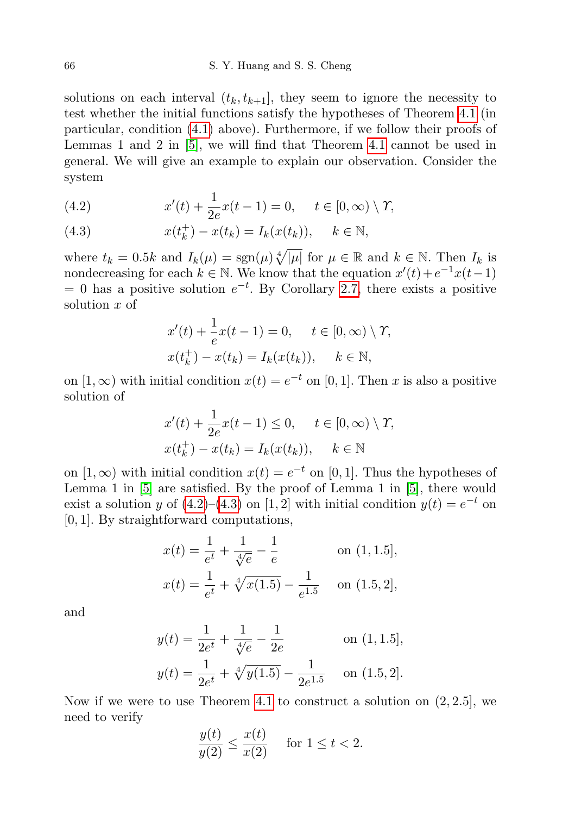solutions on each interval  $(t_k, t_{k+1}]$ , they seem to ignore the necessity to test whether the initial functions satisfy the hypotheses of Theorem [4.1](#page-22-0) (in particular, condition [\(4.1\)](#page-22-1) above). Furthermore, if we follow their proofs of Lemmas 1 and 2 in [\[5\]](#page-27-6), we will find that Theorem [4.1](#page-22-0) cannot be used in general. We will give an example to explain our observation. Consider the system

(4.2) 
$$
x'(t) + \frac{1}{2e}x(t-1) = 0, \quad t \in [0, \infty) \setminus \Upsilon,
$$

(4.3) 
$$
x(t_k^+) - x(t_k) = I_k(x(t_k)), \quad k \in \mathbb{N},
$$

where  $t_k = 0.5k$  and  $I_k(\mu) = \text{sgn}(\mu) \sqrt[4]{|\mu|}$  for  $\mu \in \mathbb{R}$  and  $k \in \mathbb{N}$ . Then  $I_k$  is nondecreasing for each  $k \in \mathbb{N}$ . We know that the equation  $x'(t) + e^{-1}x(t-1)$  $= 0$  has a positive solution  $e^{-t}$ . By Corollary [2.7,](#page-14-1) there exists a positive solution x of

$$
x'(t) + \frac{1}{e}x(t-1) = 0, \quad t \in [0, \infty) \setminus \Upsilon,
$$
  

$$
x(t_k^+) - x(t_k) = I_k(x(t_k)), \quad k \in \mathbb{N},
$$

on  $[1, \infty)$  with initial condition  $x(t) = e^{-t}$  on  $[0, 1]$ . Then x is also a positive solution of

$$
x'(t) + \frac{1}{2e}x(t-1) \le 0, \quad t \in [0, \infty) \setminus \Upsilon,
$$
  

$$
x(t_k^+) - x(t_k) = I_k(x(t_k)), \quad k \in \mathbb{N}
$$

on  $[1, \infty)$  with initial condition  $x(t) = e^{-t}$  on  $[0, 1]$ . Thus the hypotheses of Lemma 1 in [\[5\]](#page-27-6) are satisfied. By the proof of Lemma 1 in [\[5\]](#page-27-6), there would exist a solution y of  $(4.2)$ – $(4.3)$  on  $[1, 2]$  with initial condition  $y(t) = e^{-t}$  on [0, 1]. By straightforward computations,

$$
x(t) = \frac{1}{e^t} + \frac{1}{\sqrt[4]{e}} - \frac{1}{e}
$$
 on (1, 1.5],  

$$
x(t) = \frac{1}{e^t} + \sqrt[4]{x(1.5)} - \frac{1}{e^{1.5}}
$$
 on (1.5, 2],

and

$$
y(t) = \frac{1}{2e^t} + \frac{1}{\sqrt[4]{e}} - \frac{1}{2e}
$$
 on (1, 1.5],  

$$
y(t) = \frac{1}{2e^t} + \sqrt[4]{y(1.5)} - \frac{1}{2e^{1.5}}
$$
 on (1.5, 2].

Now if we were to use Theorem [4.1](#page-22-0) to construct a solution on  $(2, 2.5]$ , we need to verify

$$
\frac{y(t)}{y(2)} \le \frac{x(t)}{x(2)} \quad \text{ for } 1 \le t < 2.
$$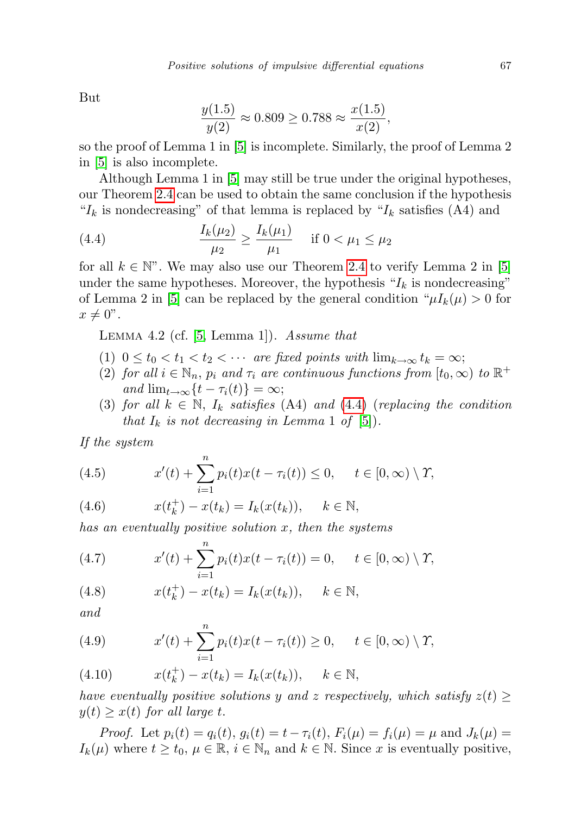But

$$
\frac{y(1.5)}{y(2)} \approx 0.809 \ge 0.788 \approx \frac{x(1.5)}{x(2)},
$$

so the proof of Lemma 1 in [\[5\]](#page-27-6) is incomplete. Similarly, the proof of Lemma 2 in [\[5\]](#page-27-6) is also incomplete.

Although Lemma 1 in [\[5\]](#page-27-6) may still be true under the original hypotheses, our Theorem [2.4](#page-8-0) can be used to obtain the same conclusion if the hypothesis " $I_k$  is nondecreasing" of that lemma is replaced by " $I_k$  satisfies (A4) and

<span id="page-24-0"></span>(4.4) 
$$
\frac{I_k(\mu_2)}{\mu_2} \ge \frac{I_k(\mu_1)}{\mu_1} \quad \text{if } 0 < \mu_1 \le \mu_2
$$

for all  $k \in \mathbb{N}$ ". We may also use our Theorem [2.4](#page-8-0) to verify Lemma 2 in [\[5\]](#page-27-6) under the same hypotheses. Moreover, the hypothesis " $I_k$  is nondecreasing" of Lemma 2 in [\[5\]](#page-27-6) can be replaced by the general condition " $\mu I_k(\mu) > 0$  for  $x \neq 0$ ".

<span id="page-24-1"></span>LEMMA 4.2 (cf.  $[5, Lemma 1]$  $[5, Lemma 1]$ ). Assume that

- (1)  $0 \le t_0 < t_1 < t_2 < \cdots$  are fixed points with  $\lim_{k \to \infty} t_k = \infty$ ;
- (2) for all  $i \in \mathbb{N}_n$ ,  $p_i$  and  $\tau_i$  are continuous functions from  $[t_0, \infty)$  to  $\mathbb{R}^+$ and  $\lim_{t\to\infty} \{t-\tau_i(t)\}=\infty;$
- (3) for all  $k \in \mathbb{N}$ ,  $I_k$  satisfies (A[4\)](#page-24-0) and (4.4) (replacing the condition that  $I_k$  is not decreasing in Lemma 1 of [\[5\]](#page-27-6)).

If the system

(4.5) 
$$
x'(t) + \sum_{i=1}^{n} p_i(t)x(t - \tau_i(t)) \leq 0, \quad t \in [0, \infty) \setminus \Upsilon,
$$

(4.6) 
$$
x(t_k^+) - x(t_k) = I_k(x(t_k)), \quad k \in \mathbb{N},
$$

has an eventually positive solution x, then the systems

(4.7) 
$$
x'(t) + \sum_{i=1}^{n} p_i(t)x(t - \tau_i(t)) = 0, \quad t \in [0, \infty) \setminus \Upsilon,
$$

(4.8) 
$$
x(t_k^+) - x(t_k) = I_k(x(t_k)), \quad k \in \mathbb{N},
$$

and

(4.9) 
$$
x'(t) + \sum_{i=1}^{n} p_i(t)x(t - \tau_i(t)) \ge 0, \quad t \in [0, \infty) \setminus \Upsilon,
$$

(4.10) 
$$
x(t_k^+) - x(t_k) = I_k(x(t_k)), \quad k \in \mathbb{N},
$$

have eventually positive solutions y and z respectively, which satisfy  $z(t) \geq$  $y(t) \geq x(t)$  for all large t.

*Proof.* Let  $p_i(t) = q_i(t), g_i(t) = t - \tau_i(t), F_i(\mu) = f_i(\mu) = \mu$  and  $J_k(\mu) =$  $I_k(\mu)$  where  $t \geq t_0, \mu \in \mathbb{R}, i \in \mathbb{N}_n$  and  $k \in \mathbb{N}$ . Since x is eventually positive,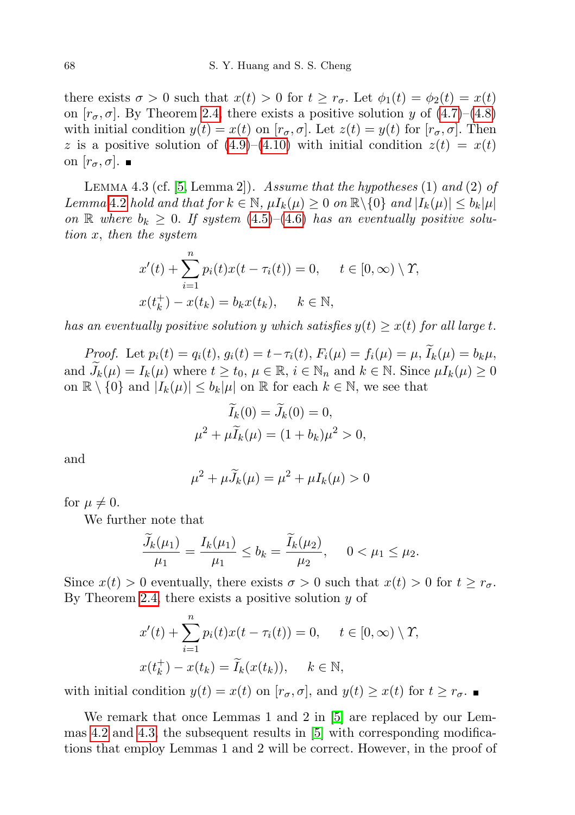there exists  $\sigma > 0$  such that  $x(t) > 0$  for  $t \geq r_{\sigma}$ . Let  $\phi_1(t) = \phi_2(t) = x(t)$ on  $[r_{\sigma}, \sigma]$ . By Theorem [2.4,](#page-8-0) there exists a positive solution y of  $(4.7)$ – $(4.8)$ with initial condition  $y(t) = x(t)$  on  $[r_{\sigma}, \sigma]$ . Let  $z(t) = y(t)$  for  $[r_{\sigma}, \sigma]$ . Then z is a positive solution of  $(4.9)$ – $(4.10)$  with initial condition  $z(t) = x(t)$ on  $[r_{\sigma}, \sigma]$ .

<span id="page-25-0"></span>LEMMA 4.3 (cf.  $[5, Lemma 2]$  $[5, Lemma 2]$ ). Assume that the hypotheses  $(1)$  and  $(2)$  of Lemma [4](#page-24-1).2 hold and that for  $k \in \mathbb{N}$ ,  $\mu I_k(\mu) \geq 0$  on  $\mathbb{R} \setminus \{0\}$  and  $|I_k(\mu)| \leq b_k |\mu|$ on R where  $b_k \geq 0$ . If system  $(4.5)$ – $(4.6)$  has an eventually positive solution x, then the system

$$
x'(t) + \sum_{i=1}^{n} p_i(t)x(t - \tau_i(t)) = 0, \quad t \in [0, \infty) \setminus \Upsilon,
$$
  

$$
x(t_k^+) - x(t_k) = b_k x(t_k), \quad k \in \mathbb{N},
$$

has an eventually positive solution y which satisfies  $y(t) \geq x(t)$  for all large t.

Proof. Let  $p_i(t) = q_i(t), g_i(t) = t - \tau_i(t), F_i(\mu) = f_i(\mu) = \mu, \widetilde{I}_k(\mu) = b_k \mu,$ and  $J_k(\mu) = I_k(\mu)$  where  $t \ge t_0, \mu \in \mathbb{R}, i \in \mathbb{N}_n$  and  $k \in \mathbb{N}$ . Since  $\mu I_k(\mu) \ge 0$ on  $\mathbb{R} \setminus \{0\}$  and  $|I_k(\mu)| \leq b_k|\mu|$  on  $\mathbb{R}$  for each  $k \in \mathbb{N}$ , we see that

$$
I_k(0) = J_k(0) = 0,
$$
  

$$
\mu^2 + \mu \widetilde{I}_k(\mu) = (1 + b_k)\mu^2 > 0,
$$

and

$$
\mu^2 + \mu \widetilde{J}_k(\mu) = \mu^2 + \mu I_k(\mu) > 0
$$

for  $\mu \neq 0$ .

We further note that

$$
\frac{\dot{J}_k(\mu_1)}{\mu_1} = \frac{I_k(\mu_1)}{\mu_1} \le b_k = \frac{\dot{I}_k(\mu_2)}{\mu_2}, \quad 0 < \mu_1 \le \mu_2.
$$

Since  $x(t) > 0$  eventually, there exists  $\sigma > 0$  such that  $x(t) > 0$  for  $t \geq r_{\sigma}$ . By Theorem [2.4,](#page-8-0) there exists a positive solution  $y$  of

$$
x'(t) + \sum_{i=1}^{n} p_i(t)x(t - \tau_i(t)) = 0, \quad t \in [0, \infty) \setminus \Upsilon,
$$
  

$$
x(t_k^+) - x(t_k) = \widetilde{I}_k(x(t_k)), \quad k \in \mathbb{N},
$$

with initial condition  $y(t) = x(t)$  on  $[r_{\sigma}, \sigma]$ , and  $y(t) \geq x(t)$  for  $t \geq r_{\sigma}$ .

We remark that once Lemmas 1 and 2 in [\[5\]](#page-27-6) are replaced by our Lemmas [4.2](#page-24-1) and [4.3,](#page-25-0) the subsequent results in [\[5\]](#page-27-6) with corresponding modifications that employ Lemmas 1 and 2 will be correct. However, in the proof of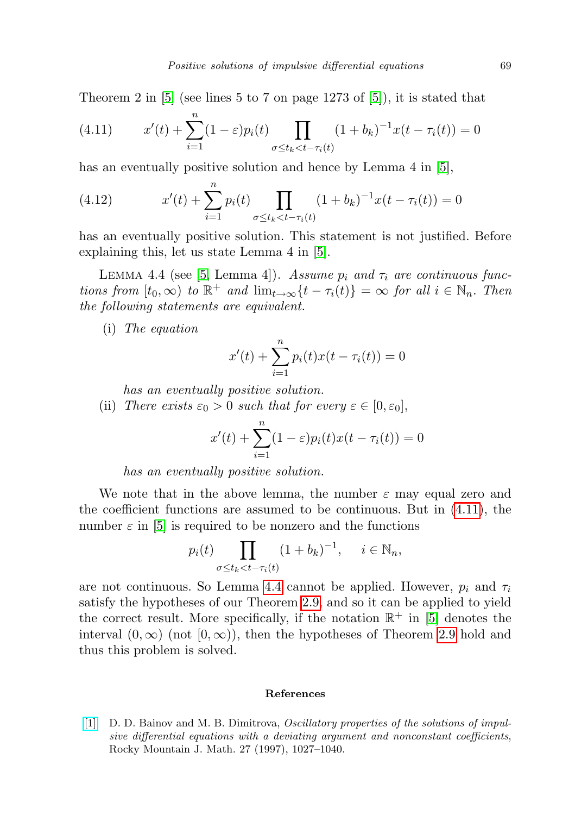Theorem 2 in [\[5\]](#page-27-6) (see lines 5 to 7 on page 1273 of [\[5\]](#page-27-6)), it is stated that

<span id="page-26-1"></span>(4.11) 
$$
x'(t) + \sum_{i=1}^{n} (1 - \varepsilon) p_i(t) \prod_{\sigma \le t_k < t - \tau_i(t)} (1 + b_k)^{-1} x(t - \tau_i(t)) = 0
$$

has an eventually positive solution and hence by Lemma 4 in [\[5\]](#page-27-6),

(4.12) 
$$
x'(t) + \sum_{i=1}^{n} p_i(t) \prod_{\sigma \le t_k < t - \tau_i(t)} (1 + b_k)^{-1} x(t - \tau_i(t)) = 0
$$

has an eventually positive solution. This statement is not justified. Before explaining this, let us state Lemma 4 in [\[5\]](#page-27-6).

<span id="page-26-2"></span>LEMMA 4.4 (see [\[5,](#page-27-6) Lemma 4]). Assume  $p_i$  and  $\tau_i$  are continuous functions from  $[t_0, \infty)$  to  $\mathbb{R}^+$  and  $\lim_{t \to \infty} {t - \tau_i(t)} = \infty$  for all  $i \in \mathbb{N}_n$ . Then the following statements are equivalent.

(i) The equation

$$
x'(t) + \sum_{i=1}^{n} p_i(t)x(t - \tau_i(t)) = 0
$$

has an eventually positive solution.

(ii) There exists  $\varepsilon_0 > 0$  such that for every  $\varepsilon \in [0, \varepsilon_0],$ 

$$
x'(t) + \sum_{i=1}^{n} (1 - \varepsilon) p_i(t) x(t - \tau_i(t)) = 0
$$

has an eventually positive solution.

We note that in the above lemma, the number  $\varepsilon$  may equal zero and the coefficient functions are assumed to be continuous. But in [\(4.11\)](#page-26-1), the number  $\varepsilon$  in [\[5\]](#page-27-6) is required to be nonzero and the functions

$$
p_i(t) \prod_{\sigma \le t_k < t - \tau_i(t)} (1 + b_k)^{-1}, \quad i \in \mathbb{N}_n,
$$

are not continuous. So Lemma [4.4](#page-26-2) cannot be applied. However,  $p_i$  and  $\tau_i$ satisfy the hypotheses of our Theorem [2.9,](#page-16-1) and so it can be applied to yield the correct result. More specifically, if the notation  $\mathbb{R}^+$  in [\[5\]](#page-27-6) denotes the interval  $(0, \infty)$  (not  $[0, \infty)$ ), then the hypotheses of Theorem [2.9](#page-16-1) hold and thus this problem is solved.

## References

<span id="page-26-0"></span>[\[1\]](http://dx.doi.org/10.1216/rmjm/1181071857) D. D. Bainov and M. B. Dimitrova, Oscillatory properties of the solutions of impulsive differential equations with a deviating argument and nonconstant coefficients, Rocky Mountain J. Math. 27 (1997), 1027–1040.